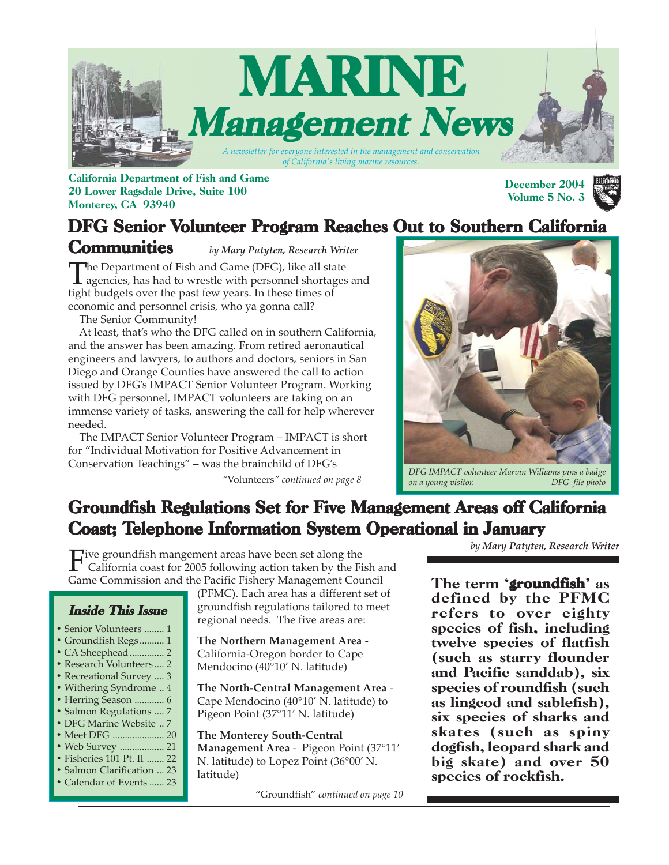

California Department of Fish and Game 20 Lower Ragsdale Drive, Suite 100 Monterey, CA 93940

#### December 2004 Volume 5 No. 3

### DFG Senior Volunteer Program Reaches Out to Southern California

**Communities** The Department of Fish and Game (DFG), like all state<br>agencies, has had to wrestle with personnel shortages and<br>tight by death agent has not four ways as In these times of tight budgets over the past few years. In these times of economic and personnel crisis, who ya gonna call? *by Mary Patyten, Research Writer*

The Senior Community!

 At least, that's who the DFG called on in southern California, and the answer has been amazing. From retired aeronautical engineers and lawyers, to authors and doctors, seniors in San Diego and Orange Counties have answered the call to action issued by DFG's IMPACT Senior Volunteer Program. Working with DFG personnel, IMPACT volunteers are taking on an immense variety of tasks, answering the call for help wherever needed.

 The IMPACT Senior Volunteer Program – IMPACT is short for "Individual Motivation for Positive Advancement in Conservation Teachings" – was the brainchild of DFG's

(PFMC). Each area has a different set of groundfish regulations tailored to meet regional needs. The five areas are:

**The North-Central Management Area** - Cape Mendocino (40°10' N. latitude) to Pigeon Point (37°11' N. latitude)

**Management Area** - Pigeon Point (37°11' N. latitude) to Lopez Point (36°00' N.

**The Northern Management Area** - California-Oregon border to Cape Mendocino (40°10' N. latitude)

**The Monterey South-Central**



*"*Volunteers*[" continued on page 8](#page-7-0) DFG IMPACT volunteer Marvin Williams pins a badge*  $on a young visitor.$ 

### Groundfish Regulations Set for Five Management Areas off California Coast; Telephone Information System Operational in January

Five groundfish mangement areas have been set along the California coast for 2005 following action taken by the Fish and Game Commission and the Pacific Fishery Management Council

latitude)

#### Inside This Issue

- Senior Volunteers ........ 1
- Groundfish Regs .......... 1
- [CA Sheephead.............. 2](#page-1-0)
- **•** [Research Volunteers .... 2](#page-1-0)
- **•** [Recreational Survey .... 3](#page-2-0)
- [Withering Syndrome .. 4](#page-3-0) **•** [Herring Season ............ 6](#page-5-0)
- [Salmon Regulations .... 7](#page-6-0)
- **•** [DFG Marine Website .. 7](#page-6-0)
- [Meet DFG ..................... 20](#page-19-0)
- [Web Survey .................. 21](#page-20-0)
- [Fisheries 101 Pt. II ....... 22](#page-21-0)
- [Salmon Clarification ... 23](#page-22-0) **•** [Calendar of Events ...... 23](#page-22-0)

"Groundfish" *[continued on page 10](#page-9-0)*

*by Mary Patyten, Research Writer*

The term 'groundfish' as defined by the PFMC refers to over eighty species of fish, including twelve species of flatfish (such as starry flounder and Pacific sanddab), six species of roundfish (such as lingcod and sablefish), six species of sharks and skates (such as spiny dogfish, leopard shark and big skate) and over 50 species of rockfish.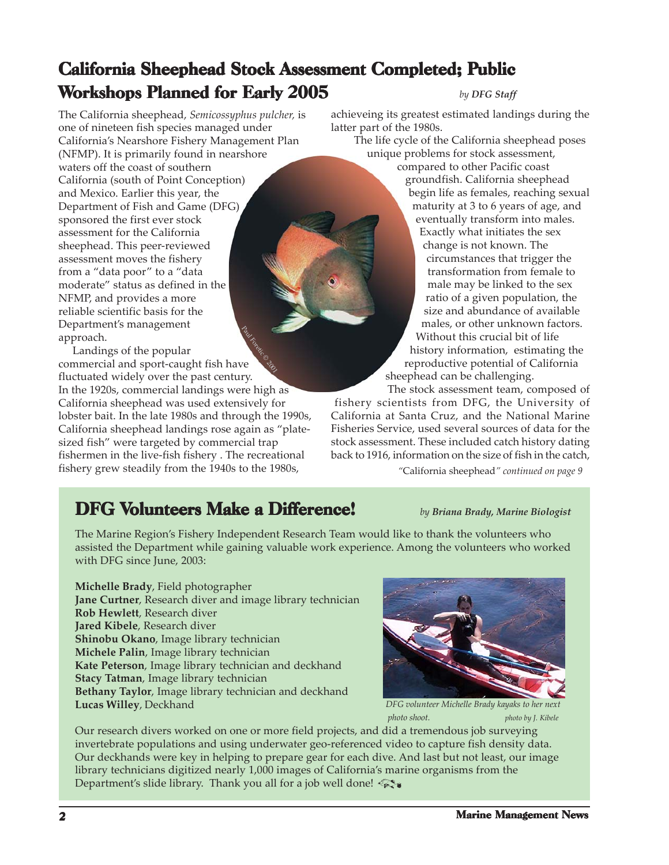### <span id="page-1-0"></span>California Sheephead Stock Assessment Completed; Public Workshops Planned for Early 2005

The California sheephead, *Semicossyphus pulcher,* is one of nineteen fish species managed under California's Nearshore Fishery Management Plan (NFMP). It is primarily found in nearshore waters off the coast of southern California (south of Point Conception) and Mexico. Earlier this year, the Department of Fish and Game (DFG) sponsored the first ever stock assessment for the California sheephead. This peer-reviewed assessment moves the fishery from a "data poor" to a "data moderate" status as defined in the NFMP, and provides a more reliable scientific basis for the Department's management approach.

**Raul Foreign Conduction Conduction Conduction Conduction Conduction Conduction Conduction Conduction Conduction**  Landings of the popular commercial and sport-caught fish have fluctuated widely over the past century. In the 1920s, commercial landings were high as California sheephead was used extensively for lobster bait. In the late 1980s and through the 1990s, California sheephead landings rose again as "platesized fish" were targeted by commercial trap fishermen in the live-fish fishery . The recreational fishery grew steadily from the 1940s to the 1980s,

#### *by DFG Staff*

achieveing its greatest estimated landings during the latter part of the 1980s.

 The life cycle of the California sheephead poses unique problems for stock assessment,

compared to other Pacific coast groundfish. California sheephead begin life as females, reaching sexual maturity at 3 to 6 years of age, and eventually transform into males. Exactly what initiates the sex change is not known. The circumstances that trigger the transformation from female to male may be linked to the sex ratio of a given population, the size and abundance of available males, or other unknown factors. Without this crucial bit of life history information, estimating the reproductive potential of California sheephead can be challenging.

 The stock assessment team, composed of fishery scientists from DFG, the University of California at Santa Cruz, and the National Marine Fisheries Service, used several sources of data for the stock assessment. These included catch history dating back to 1916, information on the size of fish in the catch,

*"*[California sheephead](#page-8-0)*" continued on page 9*

### **DFG Volunteers Make a Difference!** *by Briana Brady, Marine Biologist*

The Marine Region's Fishery Independent Research Team would like to thank the volunteers who assisted the Department while gaining valuable work experience. Among the volunteers who worked with DFG since June, 2003:

**Michelle Brady**, Field photographer **Jane Curtner**, Research diver and image library technician **Rob Hewlett**, Research diver **Jared Kibele**, Research diver **Shinobu Okano**, Image library technician **Michele Palin**, Image library technician **Kate Peterson**, Image library technician and deckhand **Stacy Tatman**, Image library technician **Bethany Taylor**, Image library technician and deckhand **Lucas Willey**, Deckhand



*DFG volunteer Michelle Brady kayaks to her next photo shoot. photo by J. Kibele*

Our research divers worked on one or more field projects, and did a tremendous job surveying invertebrate populations and using underwater geo-referenced video to capture fish density data. Our deckhands were key in helping to prepare gear for each dive. And last but not least, our image library technicians digitized nearly 1,000 images of California's marine organisms from the Department's slide library. Thank you all for a job well done!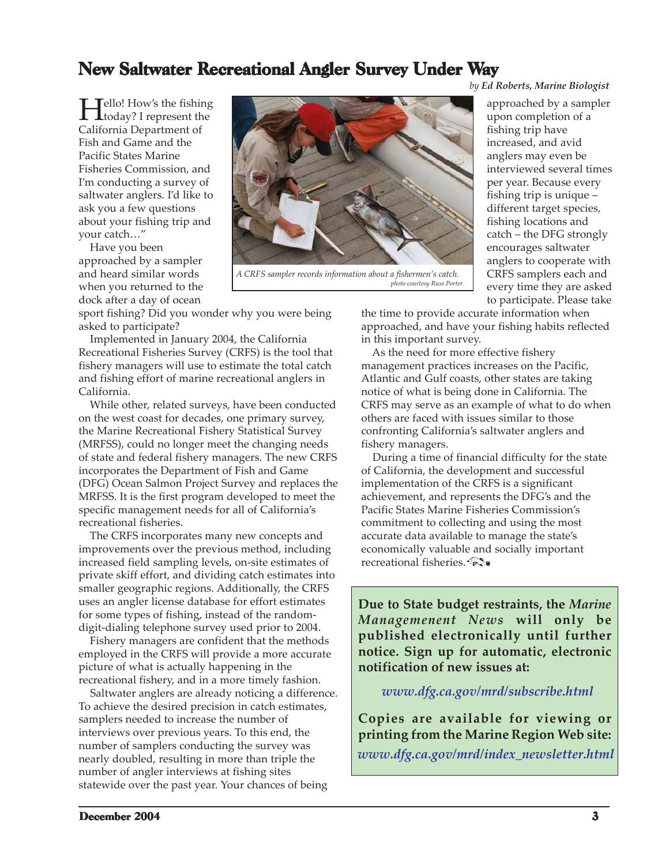### <span id="page-2-0"></span>New Saltwater Recreational Angler Survey Under Way

**Hello!** How's the fishing<br>today? I represent the California Department of Fish and Game and the Pacific States Marine Fisheries Commission, and I'm conducting a survey of saltwater anglers. I'd like to ask you a few questions about your fishing trip and your catch…"

 Have you been approached by a sampler and heard similar words when you returned to the dock after a day of ocean

sport fishing? Did you wonder why you were being asked to participate?

 Implemented in January 2004, the California Recreational Fisheries Survey (CRFS) is the tool that fishery managers will use to estimate the total catch and fishing effort of marine recreational anglers in California.

 While other, related surveys, have been conducted on the west coast for decades, one primary survey, the Marine Recreational Fishery Statistical Survey (MRFSS), could no longer meet the changing needs of state and federal fishery managers. The new CRFS incorporates the Department of Fish and Game (DFG) Ocean Salmon Project Survey and replaces the MRFSS. It is the first program developed to meet the specific management needs for all of California's recreational fisheries.

 The CRFS incorporates many new concepts and improvements over the previous method, including increased field sampling levels, on-site estimates of private skiff effort, and dividing catch estimates into smaller geographic regions. Additionally, the CRFS uses an angler license database for effort estimates for some types of fishing, instead of the randomdigit-dialing telephone survey used prior to 2004.

 Fishery managers are confident that the methods employed in the CRFS will provide a more accurate picture of what is actually happening in the recreational fishery, and in a more timely fashion.

 Saltwater anglers are already noticing a difference. To achieve the desired precision in catch estimates, samplers needed to increase the number of interviews over previous years. To this end, the number of samplers conducting the survey was nearly doubled, resulting in more than triple the number of angler interviews at fishing sites statewide over the past year. Your chances of being



 *A CRFS sampler records information about a fishermen's catch. photo courtesy Russ Porter*

*by Ed Roberts, Marine Biologist*

approached by a sampler upon completion of a fishing trip have increased, and avid anglers may even be interviewed several times per year. Because every fishing trip is unique – different target species, fishing locations and catch – the DFG strongly encourages saltwater anglers to cooperate with CRFS samplers each and every time they are asked to participate. Please take

the time to provide accurate information when approached, and have your fishing habits reflected in this important survey.

 As the need for more effective fishery management practices increases on the Pacific, Atlantic and Gulf coasts, other states are taking notice of what is being done in California. The CRFS may serve as an example of what to do when others are faced with issues similar to those confronting California's saltwater anglers and fishery managers.

 During a time of financial difficulty for the state of California, the development and successful implementation of the CRFS is a significant achievement, and represents the DFG's and the Pacific States Marine Fisheries Commission's commitment to collecting and using the most accurate data available to manage the state's economically valuable and socially important recreational fisheries.

**Due to State budget restraints, the** *Marine Managemenent News* **will only be published electronically until further notice. Sign up for automatic, electronic notification of new issues at:**

#### *<www.dfg.ca.gov/mrd/subscribe.html>*

**Copies are available for viewing or printing from the Marine Region Web site:** *[www.dfg.ca.gov/mrd/index\\_newsletter.html](www.dfg.ca.gov/mrd/index_newsletter.html)*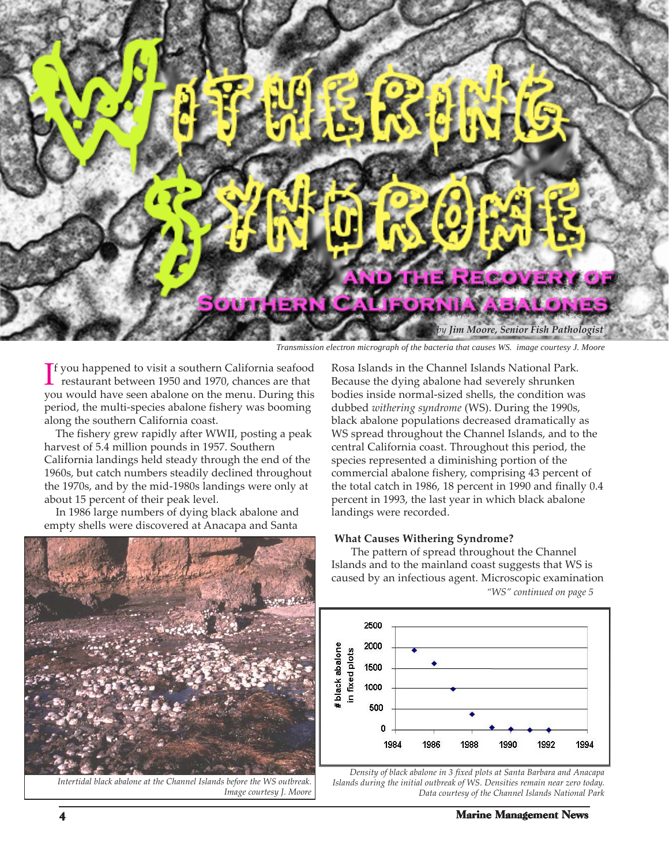<span id="page-3-0"></span>

*Transmission electron micrograph of the bacteria that causes WS. image courtesy J. Moore*

 $\Gamma$  you happened to visit a southern California seafood<br>restaurant between 1950 and 1970, chances are that f you happened to visit a southern California seafood you would have seen abalone on the menu. During this period, the multi-species abalone fishery was booming along the southern California coast.

 The fishery grew rapidly after WWII, posting a peak harvest of 5.4 million pounds in 1957. Southern California landings held steady through the end of the 1960s, but catch numbers steadily declined throughout the 1970s, and by the mid-1980s landings were only at about 15 percent of their peak level.

 In 1986 large numbers of dying black abalone and empty shells were discovered at Anacapa and Santa



*Intertidal black abalone at the Channel Islands before the WS outbreak. Image courtesy J. Moore*

Rosa Islands in the Channel Islands National Park. Because the dying abalone had severely shrunken bodies inside normal-sized shells, the condition was dubbed *withering syndrome* (WS). During the 1990s, black abalone populations decreased dramatically as WS spread throughout the Channel Islands, and to the central California coast. Throughout this period, the species represented a diminishing portion of the commercial abalone fishery, comprising 43 percent of the total catch in 1986, 18 percent in 1990 and finally 0.4 percent in 1993, the last year in which black abalone landings were recorded.

#### **What Causes Withering Syndrome?**

The pattern of spread throughout the Channel Islands and to the mainland coast suggests that WS is caused by an infectious agent. Microscopic examination *["WS" continued on page 5](#page-4-0)*



*Density of black abalone in 3 fixed plots at Santa Barbara and Anacapa Islands during the initial outbreak of WS. Densities remain near zero today. Data courtesy of the Channel Islands National Park*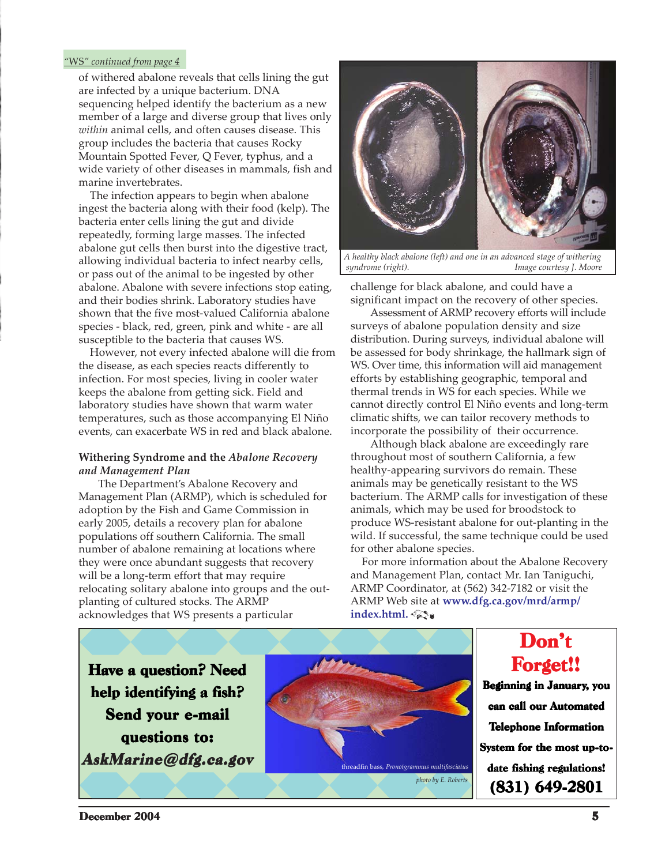#### <span id="page-4-0"></span>*"*WS*" continued from page 4*

of withered abalone reveals that cells lining the gut are infected by a unique bacterium. DNA sequencing helped identify the bacterium as a new member of a large and diverse group that lives only *within* animal cells, and often causes disease. This group includes the bacteria that causes Rocky Mountain Spotted Fever, Q Fever, typhus, and a wide variety of other diseases in mammals, fish and marine invertebrates.

 The infection appears to begin when abalone ingest the bacteria along with their food (kelp). The bacteria enter cells lining the gut and divide repeatedly, forming large masses. The infected abalone gut cells then burst into the digestive tract, allowing individual bacteria to infect nearby cells, or pass out of the animal to be ingested by other abalone. Abalone with severe infections stop eating, and their bodies shrink. Laboratory studies have shown that the five most-valued California abalone species - black, red, green, pink and white - are all susceptible to the bacteria that causes WS.

 However, not every infected abalone will die from the disease, as each species reacts differently to infection. For most species, living in cooler water keeps the abalone from getting sick. Field and laboratory studies have shown that warm water temperatures, such as those accompanying El Niño events, can exacerbate WS in red and black abalone.

#### **Withering Syndrome and the** *Abalone Recovery and Management Plan*

The Department's Abalone Recovery and Management Plan (ARMP), which is scheduled for adoption by the Fish and Game Commission in early 2005, details a recovery plan for abalone populations off southern California. The small number of abalone remaining at locations where they were once abundant suggests that recovery will be a long-term effort that may require relocating solitary abalone into groups and the outplanting of cultured stocks. The ARMP acknowledges that WS presents a particular



*A healthy black abalone (left) and one in an advanced stage of withering syndrome (right). Image courtesy J. Moore*

challenge for black abalone, and could have a significant impact on the recovery of other species.

Assessment of ARMP recovery efforts will include surveys of abalone population density and size distribution. During surveys, individual abalone will be assessed for body shrinkage, the hallmark sign of WS. Over time, this information will aid management efforts by establishing geographic, temporal and thermal trends in WS for each species. While we cannot directly control El Niño events and long-term climatic shifts, we can tailor recovery methods to incorporate the possibility of their occurrence.

Although black abalone are exceedingly rare throughout most of southern California, a few healthy-appearing survivors do remain. These animals may be genetically resistant to the WS bacterium. The ARMP calls for investigation of these animals, which may be used for broodstock to produce WS-resistant abalone for out-planting in the wild. If successful, the same technique could be used for other abalone species.

 For more information about the Abalone Recovery and Management Plan, contact Mr. Ian Taniguchi, ARMP Coordinator, at (562) 342-7182 or visit the ARMP Web site at **[www.dfg.ca.gov/mrd/armp/](www.dfg.ca.gov/mrd/armp/index.html)** index.html.

Have a question? Need help identifying a fish? Send your e-mail questions to: AskMarine@dfg.ca.gov



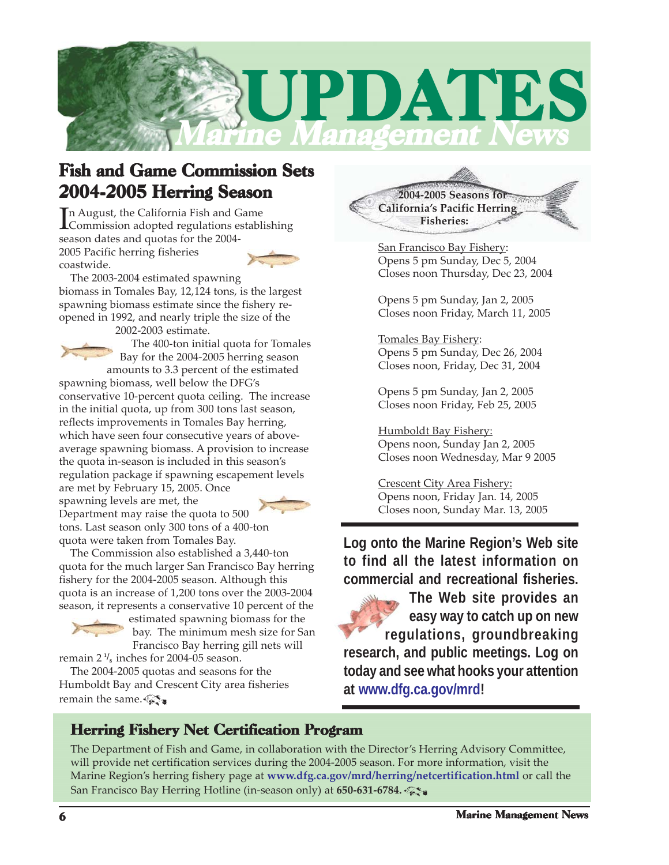<span id="page-5-0"></span>

### Fish and Game Commission Sets 2004-2005 Herring Season

In August, the California Fish and Game<br>Commission adopted regulations estable Commission adopted regulations establishing season dates and quotas for the 2004- 2005 Pacific herring fisheries coastwide.



 The 2003-2004 estimated spawning biomass in Tomales Bay, 12,124 tons, is the largest spawning biomass estimate since the fishery reopened in 1992, and nearly triple the size of the

2002-2003 estimate.

 The 400-ton initial quota for Tomales Bay for the 2004-2005 herring season amounts to 3.3 percent of the estimated

spawning biomass, well below the DFG's conservative 10-percent quota ceiling. The increase in the initial quota, up from 300 tons last season, reflects improvements in Tomales Bay herring, which have seen four consecutive years of aboveaverage spawning biomass. A provision to increase the quota in-season is included in this season's regulation package if spawning escapement levels are met by February 15, 2005. Once



spawning levels are met, the Department may raise the quota to 500 tons. Last season only 300 tons of a 400-ton quota were taken from Tomales Bay.

 The Commission also established a 3,440-ton quota for the much larger San Francisco Bay herring fishery for the 2004-2005 season. Although this quota is an increase of 1,200 tons over the 2003-2004 season, it represents a conservative 10 percent of the



estimated spawning biomass for the bay. The minimum mesh size for San Francisco Bay herring gill nets will

 $\epsilon$  remain 2  $\frac{1}{8}$  inches for 2004-05 season. The 2004-2005 quotas and seasons for the Humboldt Bay and Crescent City area fisheries remain the same.  $\mathbb{Z}$ 

 **2004-2005 Seasons for California's Pacific Herring Fisheries:**

San Francisco Bay Fishery: Opens 5 pm Sunday, Dec 5, 2004 Closes noon Thursday, Dec 23, 2004

Opens 5 pm Sunday, Jan 2, 2005 Closes noon Friday, March 11, 2005

Tomales Bay Fishery: Opens 5 pm Sunday, Dec 26, 2004 Closes noon, Friday, Dec 31, 2004

Opens 5 pm Sunday, Jan 2, 2005 Closes noon Friday, Feb 25, 2005

Humboldt Bay Fishery: Opens noon, Sunday Jan 2, 2005 Closes noon Wednesday, Mar 9 2005

Crescent City Area Fishery: Opens noon, Friday Jan. 14, 2005 Closes noon, Sunday Mar. 13, 2005

**Log onto the Marine Region's Web site to find all the latest information on commercial and recreational fisheries.**

**The Web site provides an easy way to catch up on new regulations, groundbreaking research, and public meetings. Log on today and see what hooks your attention at [www.dfg.ca.gov/mrd!](www.dfg.ca.gov/mrd)**

### Herring Fishery Net Certification Program

The Department of Fish and Game, in collaboration with the Director's Herring Advisory Committee, will provide net certification services during the 2004-2005 season. For more information, visit the Marine Region's herring fishery page at **<www.dfg.ca.gov/mrd/herring/netcertification.html>** or call the San Francisco Bay Herring Hotline (in-season only) at **650-631-6784.**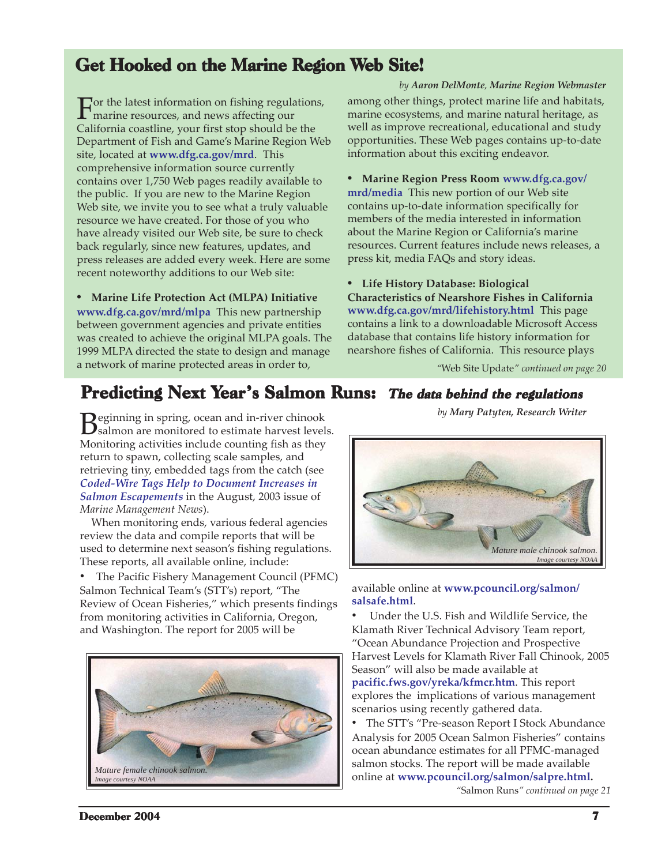### <span id="page-6-0"></span>Get Hooked on the Marine Region Web Site!

For the latest information on fishing regulations,<br>marine resources, and news affecting our<br>Galifantia modeling for the change of the three California coastline, your first stop should be the Department of Fish and Game's Marine Region Web site, located at **<www.dfg.ca.gov/mrd>**. This comprehensive information source currently contains over 1,750 Web pages readily available to the public. If you are new to the Marine Region Web site, we invite you to see what a truly valuable resource we have created. For those of you who have already visited our Web site, be sure to check back regularly, since new features, updates, and press releases are added every week. Here are some recent noteworthy additions to our Web site:

**• Marine Life Protection Act (MLPA) Initiative <www.dfg.ca.gov/mrd/mlpa>** This new partnership between government agencies and private entities was created to achieve the original MLPA goals. The 1999 MLPA directed the state to design and manage a network of marine protected areas in order to,

*by Aaron DelMonte, Marine Region Webmaster* among other things, protect marine life and habitats, marine ecosystems, and marine natural heritage, as well as improve recreational, educational and study opportunities. These Web pages contains up-to-date information about this exciting endeavor.

**• Marine Region Press Room www.dfg.ca.gov/ mrd/media** [This new portion of our Web site](www.dfg.ca.gov/mrd/media) contains up-to-date information specifically for members of the media interested in information about the Marine Region or California's marine resources. Current features include news releases, a press kit, media FAQs and story ideas.

**• Life History Database: Biological**

**Characteristics of Nearshore Fishes in California <www.dfg.ca.gov/mrd/lifehistory.html>**This page contains a link to a downloadable Microsoft Access database that contains life history information for nearshore fishes of California. This resource plays

*"*Web Site Update*[" continued on page 20](#page-19-0)*

### Predicting Next Year's Salmon Runs: The data behind the regulations

**B**eginning in spring, ocean and in-river chinook<br>Salmon are monitored to estimate harvest levels. Monitoring activities include counting fish as they return to spawn, collecting scale samples, and retrieving tiny, embedded tags from the catch (see *[Coded-Wire Tags Help to Document Increases in](www.dfg.ca.gov/mrd/newsletter/0803.html#salmon) Salmon Escapements* in the August, 2003 issue of *Marine Management News*).

 When monitoring ends, various federal agencies review the data and compile reports that will be used to determine next season's fishing regulations. These reports, all available online, include:

• The Pacific Fishery Management Council (PFMC) Salmon Technical Team's (STT's) report, "The Review of Ocean Fisheries," which presents findings from monitoring activities in California, Oregon, and Washington. The report for 2005 will be



*by Mary Patyten, Research Writer*



#### available online at **[www.pcouncil.org/salmon/](www.pcouncil.org/salmon/salsafe.html) salsafe.html**.

• Under the U.S. Fish and Wildlife Service, the Klamath River Technical Advisory Team report, "Ocean Abundance Projection and Prospective Harvest Levels for Klamath River Fall Chinook, 2005 Season" will also be made available at **<pacific.fws.gov/yreka/kfmcr.htm>**. This report explores the implications of various management scenarios using recently gathered data.

• The STT's "Pre-season Report I Stock Abundance Analysis for 2005 Ocean Salmon Fisheries" contains ocean abundance estimates for all PFMC-managed salmon stocks. The report will be made available online at **[www.pcouncil.org/salmon/salpre.html.](www.pcouncil.org/salmon/salpre.html)**

*"*Salmon Runs*[" continued on page 21](#page-20-0)*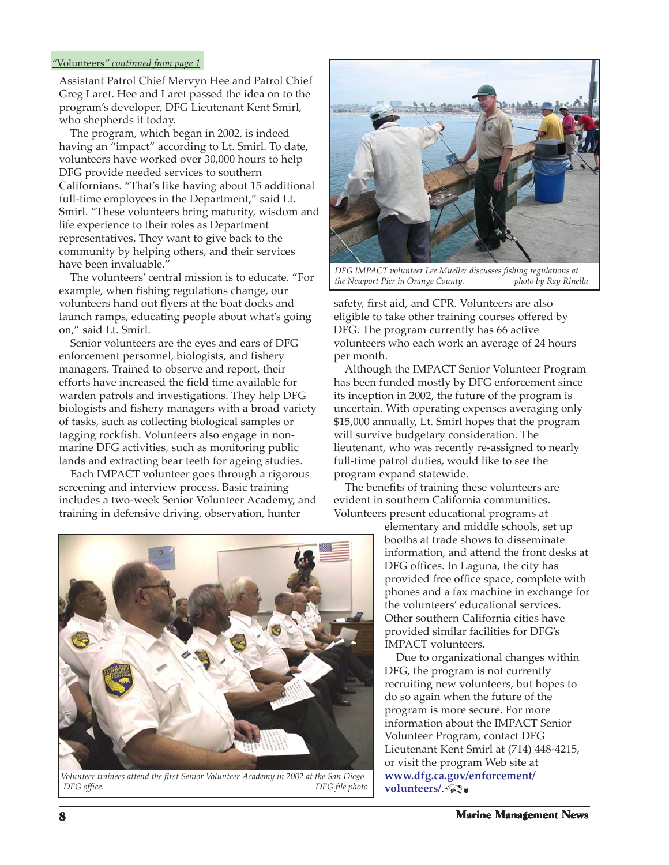#### <span id="page-7-0"></span>*"*Volunteers*" continued from page 1*

Assistant Patrol Chief Mervyn Hee and Patrol Chief Greg Laret. Hee and Laret passed the idea on to the program's developer, DFG Lieutenant Kent Smirl, who shepherds it today.

 The program, which began in 2002, is indeed having an "impact" according to Lt. Smirl. To date, volunteers have worked over 30,000 hours to help DFG provide needed services to southern Californians. "That's like having about 15 additional full-time employees in the Department," said Lt. Smirl. "These volunteers bring maturity, wisdom and life experience to their roles as Department representatives. They want to give back to the community by helping others, and their services have been invaluable."

 The volunteers' central mission is to educate. "For example, when fishing regulations change, our volunteers hand out flyers at the boat docks and launch ramps, educating people about what's going on," said Lt. Smirl.

 Senior volunteers are the eyes and ears of DFG enforcement personnel, biologists, and fishery managers. Trained to observe and report, their efforts have increased the field time available for warden patrols and investigations. They help DFG biologists and fishery managers with a broad variety of tasks, such as collecting biological samples or tagging rockfish. Volunteers also engage in nonmarine DFG activities, such as monitoring public lands and extracting bear teeth for ageing studies.

 Each IMPACT volunteer goes through a rigorous screening and interview process. Basic training includes a two-week Senior Volunteer Academy, and training in defensive driving, observation, hunter



*DFG IMPACT volunteer Lee Mueller discusses fishing regulations at the Newport Pier in Orange County. photo by Ray Rinella*

safety, first aid, and CPR. Volunteers are also eligible to take other training courses offered by DFG. The program currently has 66 active volunteers who each work an average of 24 hours per month.

 Although the IMPACT Senior Volunteer Program has been funded mostly by DFG enforcement since its inception in 2002, the future of the program is uncertain. With operating expenses averaging only \$15,000 annually, Lt. Smirl hopes that the program will survive budgetary consideration. The lieutenant, who was recently re-assigned to nearly full-time patrol duties, would like to see the program expand statewide.

 The benefits of training these volunteers are evident in southern California communities. Volunteers present educational programs at

elementary and middle schools, set up booths at trade shows to disseminate information, and attend the front desks at DFG offices. In Laguna, the city has provided free office space, complete with phones and a fax machine in exchange for the volunteers' educational services. Other southern California cities have provided similar facilities for DFG's IMPACT volunteers.

 Due to organizational changes within DFG, the program is not currently recruiting new volunteers, but hopes to do so again when the future of the program is more secure. For more information about the IMPACT Senior Volunteer Program, contact DFG Lieutenant Kent Smirl at (714) 448-4215, or visit the program Web site at **[www.dfg.ca.gov/enforcement/](www.dfg.ca.gov/enforcement/volunteers/) volunteers/.**  $\mathcal{R}$ 



 *Volunteer trainees attend the first Senior Volunteer Academy in 2002 at the San Diego DFG office. DFG file photo*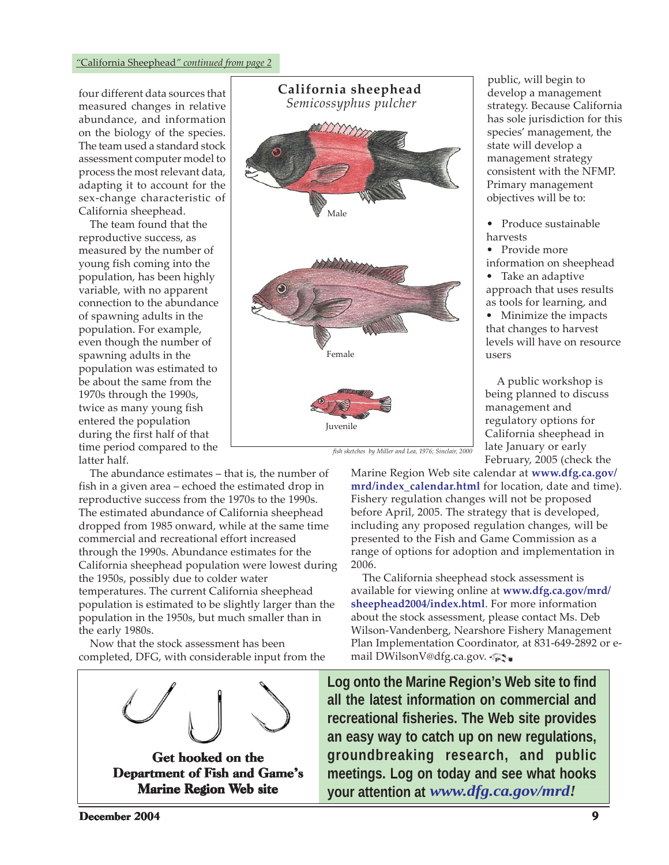<span id="page-8-0"></span>four different data sources that measured changes in relative abundance, and information on the biology of the species. The team used a standard stock assessment computer model to process the most relevant data, adapting it to account for the sex-change characteristic of California sheephead.

 The team found that the reproductive success, as measured by the number of young fish coming into the population, has been highly variable, with no apparent connection to the abundance of spawning adults in the population. For example, even though the number of spawning adults in the population was estimated to be about the same from the 1970s through the 1990s, twice as many young fish entered the population during the first half of that time period compared to the latter half.

 The abundance estimates – that is, the number of fish in a given area – echoed the estimated drop in reproductive success from the 1970s to the 1990s. The estimated abundance of California sheephead dropped from 1985 onward, while at the same time commercial and recreational effort increased through the 1990s. Abundance estimates for the California sheephead population were lowest during the 1950s, possibly due to colder water temperatures. The current California sheephead population is estimated to be slightly larger than the population in the 1950s, but much smaller than in the early 1980s.

 Now that the stock assessment has been completed, DFG, with considerable input from the





public, will begin to develop a management strategy. Because California has sole jurisdiction for this species' management, the state will develop a management strategy consistent with the NFMP. Primary management objectives will be to:

- Produce sustainable harvests
- Provide more
- information on sheephead

• Take an adaptive approach that uses results as tools for learning, and

• Minimize the impacts that changes to harvest levels will have on resource users

 A public workshop is being planned to discuss management and regulatory options for California sheephead in late January or early February, 2005 (check the

*fish sketches by Miller and Lea, 1976; Sinclair, 2000*

[Marine Region Web site calendar at](www.dfg.ca.gov/mrd/index_calendar.html) **www.dfg.ca.gov/ mrd/index\_calendar.html** for location, date and time). Fishery regulation changes will not be proposed before April, 2005. The strategy that is developed, including any proposed regulation changes, will be presented to the Fish and Game Commission as a range of options for adoption and implementation in 2006.

 The California sheephead stock assessment is [available for viewing online at](www.dfg.ca.gov/mrd/sheephead2004/index.html) **www.dfg.ca.gov/mrd/ sheephead2004/index.html**. For more information about the stock assessment, please contact Ms. Deb Wilson-Vandenberg, Nearshore Fishery Management Plan Implementation Coordinator, at 831-649-2892 or email DWilsonV@dfg.ca.gov.

**Log onto the Marine Region's Web site to find all the latest information on commercial and recreational fisheries. The Web site provides an easy way to catch up on new regulations, groundbreaking research, and public meetings. Log on today and see what hooks your attention at** *[www.dfg.ca.gov/mrd!](www.dfg.ca.gov/mrd)*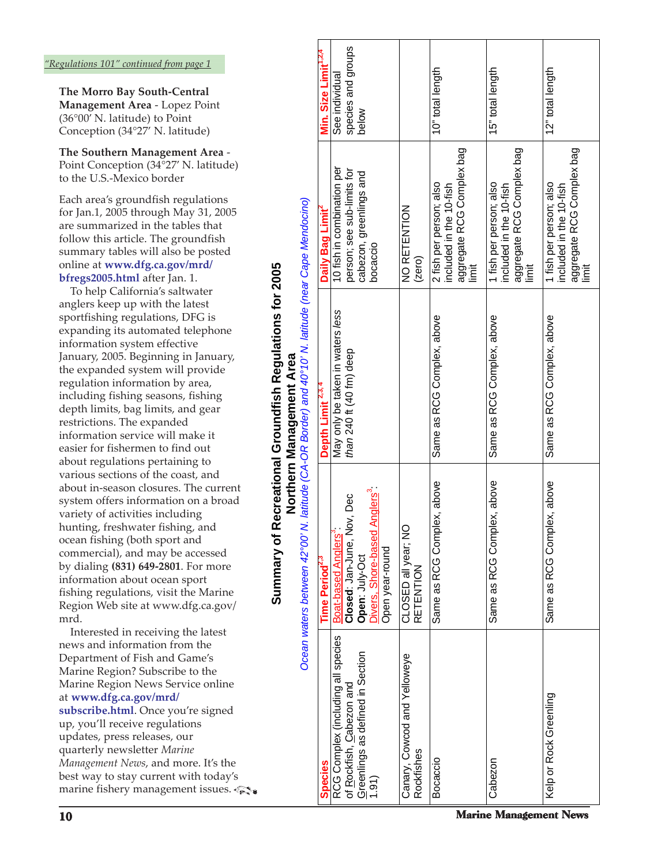<span id="page-9-0"></span>**The Morro Bay South-Central Management Area** - Lopez Point (36°00' N. latitude) to Point Conception (34°27' N. latitude)

**The Southern Management Area** - Point Conception (34°27' N. latitude) to the U.S.-Mexico border

Each area's groundfish regulations for Jan.1, 2005 through May 31, 2005 are summarized in the tables that follow this article. The groundfish summary tables will also be posted online at **[www.dfg.ca.gov/mrd/](www.dfg.ca.gov/mrd/bfregs2005.html) bfregs2005.html** after Jan. 1.

 To help California's saltwater anglers keep up with the latest sportfishing regulations, DFG is expanding its automated telephone information system effective January, 2005. Beginning in January, the expanded system will provide regulation information by area, including fishing seasons, fishing depth limits, bag limits, and gear restrictions. The expanded information service will make it easier for fishermen to find out about regulations pertaining to various sections of the coast, and about in-season closures. The current system offers information on a broad variety of activities including hunting, freshwater fishing, and ocean fishing (both sport and commercial), and may be accessed by dialing **(831) 649-2801**. For more information about ocean sport fishing regulations, visit the Marine Region Web site at www.dfg.ca.gov/ mrd.

 Interested in receiving the latest news and information from the Department of Fish and Game's Marine Region? Subscribe to the Marine Region News Service online at **[www.dfg.ca.gov/mrd/](www.dfg.ca.gov/mrd/subscribe.html) subscribe.html**. Once you're signed up, you'll receive regulations updates, press releases, our quarterly newsletter *Marine Management News*, and more. It's the best way to stay current with today's marine fishery management issues.

and 40°10' N latitude (near Cane Mendocino) **Summary of Recreational Groundfish Regulations for 2005**  Summary of Recreational Groundfish Regulations for 2005 **Northern Management Area Northern Management Area**<br>latitude (CA-OR Border) and 40°10' l Ocean waters between 42°00' N

|                                                                |                                                                                         | Ocean waters between 42°00' N. latitude (CA-OR Border) and 40°10' N. latitude (near Cape Mendocino) |                                                                                          |                                      |
|----------------------------------------------------------------|-----------------------------------------------------------------------------------------|-----------------------------------------------------------------------------------------------------|------------------------------------------------------------------------------------------|--------------------------------------|
| <b>Species</b>                                                 | Time Period <sup>2,3</sup>                                                              | Depth Limit <sup>2,3,4</sup>                                                                        | Daily Bag Limit                                                                          | Min. Size Limit <sup>1,2,4</sup>     |
| RCG Complex (including all species<br>of Rockfish, Cabezon and | ov, Dec<br>Boat-based Anglers <sup>3</sup><br>Closed: Jan-June, N                       | May only be taken in waters less<br>than 240 ft (40 fm) deep                                        | 10 fish in combination per<br>person; see sub-limits for                                 | species and groups<br>See individual |
| Greenlings as defined in Section<br>1.91)                      | <b>Anglers</b> <sup>3</sup><br>Divers, Shore-based<br>Open year-round<br>Open: July-Oct |                                                                                                     | cabezon, greenlings and<br>bocaccio                                                      | below                                |
| Canary, Cowcod and Yelloweye<br>Rockfishes                     | CLOSED all year; NO<br><b>RETENTION</b>                                                 |                                                                                                     | NO RETENTION<br>(zero)                                                                   |                                      |
| <b>Bocaccio</b>                                                | Same as RCG Complex, above                                                              | Same as RCG Complex, above                                                                          | aggregate RCG Complex bag<br>limit<br>2 fish per person; also<br>included in the 10-fish | 10" total length                     |
| Cabezon                                                        | Same as RCG Complex, above                                                              | Same as RCG Complex, above                                                                          | aggregate RCG Complex bag<br>1 fish per person; also<br>included in the 10-fish<br>İ     | 15" total length                     |
| Kelp or Rock Greenling                                         | Same as RCG Complex, above                                                              | Same as RCG Complex, above                                                                          | aggregate RCG Complex bag<br>1 fish per person; also<br>included in the 10-fish<br>İmi   | 12" total length                     |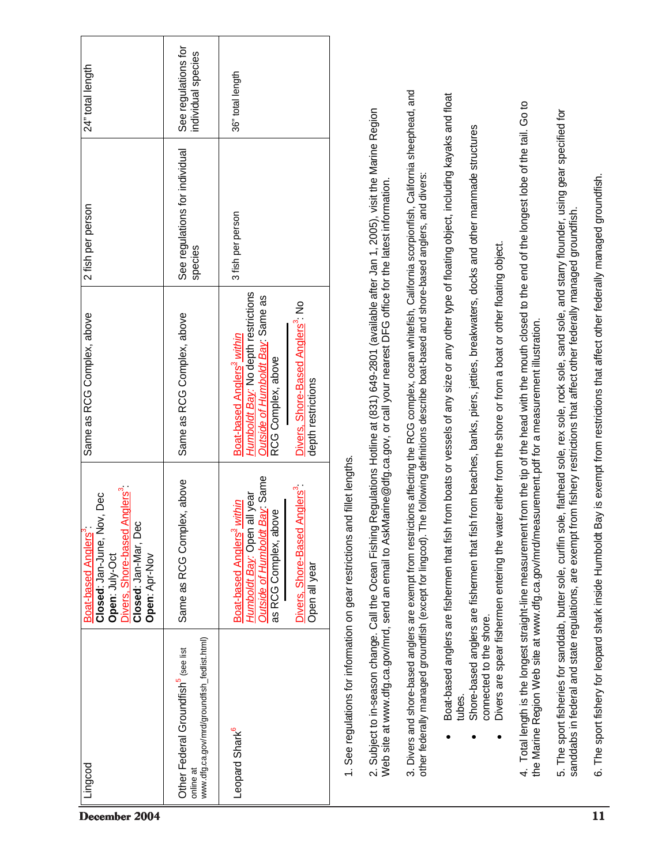| December 2004 | Lingcod                                                                                                          | Divers, Shore-based Anglers <sup>3</sup> :<br>Nov, Dec<br>Closed: Jan-Mar, Dec<br>Boat-based Anglers<br>Closed: Jan-June,<br>Open: July-Oct<br>Open: Apr-Nov                                 | Same as RCG Complex, above                                                                                                                                                                                                                          | 2 fish per person                         | 24" total length                          |
|---------------|------------------------------------------------------------------------------------------------------------------|----------------------------------------------------------------------------------------------------------------------------------------------------------------------------------------------|-----------------------------------------------------------------------------------------------------------------------------------------------------------------------------------------------------------------------------------------------------|-------------------------------------------|-------------------------------------------|
|               | www.dfg.ca.gov/mrd/groundfish_fedlist.html)<br>Other Federal Groundfish <sup>5</sup> (see list<br>online at      | plex, above<br>Same as RCG Com                                                                                                                                                               | Same as RCG Complex, above                                                                                                                                                                                                                          | See regulations for individual<br>species | See regulations for<br>individual species |
|               | Leopard Shark <sup>6</sup>                                                                                       | Outside of Humboldt Bay: Same<br>Divers, Shore-Based Anglers <sup>3</sup><br>Humboldt Bay: Open all year<br>Boat-based Anglers <sup>3</sup> within<br>as RCG Complex, above<br>Open all year | Humboldt Bay: No depth restrictions<br>Outside of Humboldt Bay: Same as<br>Divers, Shore-Based Anglers <sup>3</sup> : No<br>Boat-based Anglers <sup>3</sup> within<br>RCG Complex, above<br>depth restrictions                                      | 3 fish per person                         | 36" total length                          |
|               | 1. See regulations for information on gear restrictions<br>2. Subject to in-season change. Call the Ocean Fishin | and fillet lengths.                                                                                                                                                                          | ng Regulations Hotline at (831) 649-2801 (available after Jan 1, 2005), visit the Marine Region<br>Web site at www.dfg.ca.gov/mrd, send an email to AskMarine@dfg.ca.gov, or call your nearest DFG office for the latest information.               |                                           |                                           |
|               | other federally managed groundfish (except for lingcod).                                                         |                                                                                                                                                                                              | 3. Divers and shore-based anglers are exempt from restrictions affecting the RCG complex, ocean whitefish, California scorpionfish, California sheephead, and<br>The following definitions describe boat-based and shore-based anglers, and divers: |                                           |                                           |
|               | tubes.                                                                                                           |                                                                                                                                                                                              | Boat-based anglers are fishermen that fish from boats or vessels of any size or any other type of floating object, including kayaks and float                                                                                                       |                                           |                                           |
|               | connected to the shore.                                                                                          |                                                                                                                                                                                              | Shore-based anglers are fishermen that fish from beaches, banks, piers, jetties, breakwaters, docks and other manmade structures<br>Divers are spear fishermen entering the water either from the shore or from a boat or other floating object.    |                                           |                                           |
|               |                                                                                                                  | the Marine Region Web site at www.dfg.ca.gov/mrd/measurement.pdf for a measurement illustration.                                                                                             | 4. Total length is the longest straight-line measurement from the tip of the head with the mouth closed to the end of the longest lobe of the tail. Go to                                                                                           |                                           |                                           |
|               | 5. The sport fisheries for sanddab, butter sole, curifin                                                         |                                                                                                                                                                                              | sole, flathead sole, rex sole, rock sole, sand sole, and starry flounder, using gear specified for<br>sanddabs in federal and state regulations, are exempt from fishery restrictions that affect other federally managed groundfish.               |                                           |                                           |
| 11            | 6. The sport fishery for leopard shark inside Humboldt                                                           |                                                                                                                                                                                              | Bay is exempt from restrictions that affect other federally managed groundfish.                                                                                                                                                                     |                                           |                                           |

٦

Г

┱

┑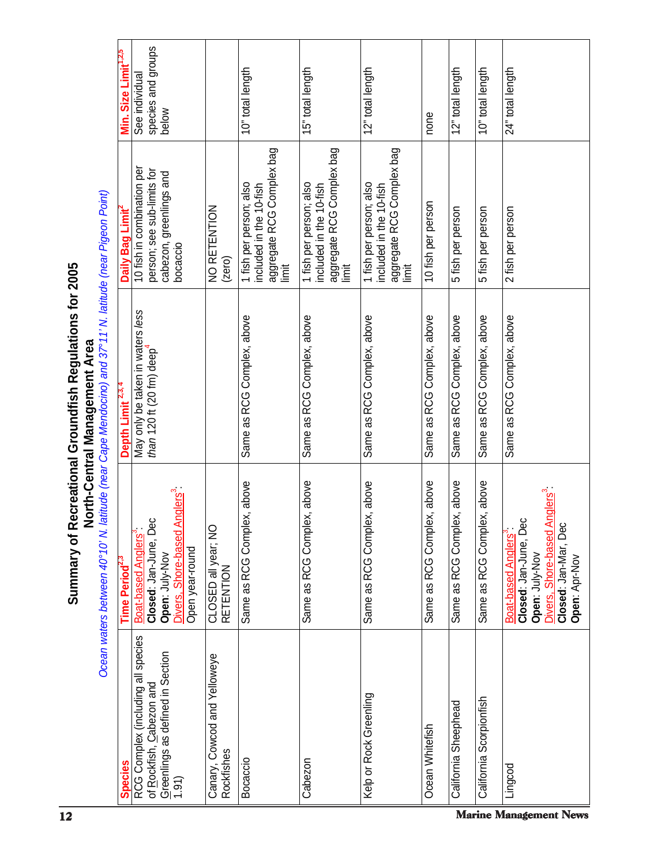|                                                                                                                                                                                           |                                  | RCG Complex (including all species<br>Greenlings as defined in Section<br>of Rockfish, Cabezon and                                           | Canary, Cowcod and Yelloweye     |                                                                                        |                                                                                          | Kelp or Rock Greenling                                                                   |                            | California Sheephead       | California Scorpionfish    |                                                                                                                                                                           |
|-------------------------------------------------------------------------------------------------------------------------------------------------------------------------------------------|----------------------------------|----------------------------------------------------------------------------------------------------------------------------------------------|----------------------------------|----------------------------------------------------------------------------------------|------------------------------------------------------------------------------------------|------------------------------------------------------------------------------------------|----------------------------|----------------------------|----------------------------|---------------------------------------------------------------------------------------------------------------------------------------------------------------------------|
| Summary of                                                                                                                                                                                | Time Period <sup>2,3</sup>       | Anglers <sup>3</sup><br>Closed: Jan-June, Dec<br>Boat-based Anglers <sup>3</sup><br>Divers, Shore-based<br>Open year-round<br>Open: July-Nov | CLOSED all year; NO<br>RETENTION | Same as RCG Complex, above                                                             | Same as RCG Complex, above                                                               | Same as RCG Complex, above                                                               | Same as RCG Complex, above | Same as RCG Complex, above | Same as RCG Complex, above | 1 Anglers <sup>3</sup><br>9ec<br>Closed: Jan-Mar, Dec<br>Closed: Jan-June, D<br>Divers, Shore-based<br>Boat-based Anglers <sup>®</sup><br>Open: July-Nov<br>Open: Apr-Nov |
| Ocean waters between 40°10' N. latitude (near Cape Mendocino) and 37°11' N. latitude (near Pigeon Point)<br>Recreational Groundfish Regulations for 2005<br>North-Central Management Area | Depth Limit <sup>2,3,4</sup>     | May only be taken in waters less<br>than 120 ft (20 fm) deep $4$                                                                             |                                  | Same as RCG Complex, above                                                             | Same as RCG Complex, above                                                               | Same as RCG Complex, above                                                               | Same as RCG Complex, above | Same as RCG Complex, above | Same as RCG Complex, above | Same as RCG Complex, above                                                                                                                                                |
|                                                                                                                                                                                           | Daily Bag Limit                  | 10 fish in combination per<br>person; see sub-limits for<br>cabezon, greenlings and<br>bocaccio                                              | NO RETENTION<br>(zero)           | aggregate RCG Complex bag<br>1 fish per person; also<br>included in the 10-fish<br>İmi | aggregate RCG Complex bag<br>limit<br>1 fish per person; also<br>included in the 10-fish | aggregate RCG Complex bag<br>1 fish per person; also<br>included in the 10-fish<br>limit | 10 fish per person         | 5 fish per person          | 5 fish per person          | 2 fish per person                                                                                                                                                         |
|                                                                                                                                                                                           | Min. Size Limit <sup>1,2,5</sup> | species and groups<br>See individual<br>below                                                                                                |                                  | 10" total length                                                                       | 15" total length                                                                         | 12" total length                                                                         | none                       | 12" total length           | 10" total length           | 24" total length                                                                                                                                                          |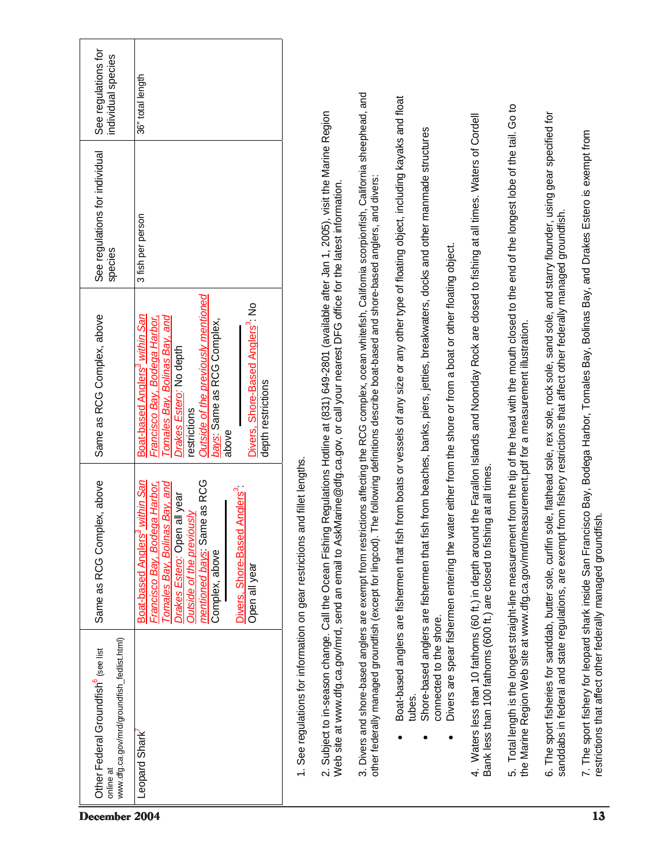|                                                                                                | online at                                                                                                                                                                                                                                                                                                           |                                                         |                                                                                                                                                                                                                                                                                           |                                                                                                                                                                                                                                                                                                              |                                                                                                                                               |                                                                                                                                                                   |                                                                                                                                                     |                                                                                                                                                           | December 2004                                                                                                                                                                                                                         |                                                                                       |
|------------------------------------------------------------------------------------------------|---------------------------------------------------------------------------------------------------------------------------------------------------------------------------------------------------------------------------------------------------------------------------------------------------------------------|---------------------------------------------------------|-------------------------------------------------------------------------------------------------------------------------------------------------------------------------------------------------------------------------------------------------------------------------------------------|--------------------------------------------------------------------------------------------------------------------------------------------------------------------------------------------------------------------------------------------------------------------------------------------------------------|-----------------------------------------------------------------------------------------------------------------------------------------------|-------------------------------------------------------------------------------------------------------------------------------------------------------------------|-----------------------------------------------------------------------------------------------------------------------------------------------------|-----------------------------------------------------------------------------------------------------------------------------------------------------------|---------------------------------------------------------------------------------------------------------------------------------------------------------------------------------------------------------------------------------------|---------------------------------------------------------------------------------------|
| www.dfg.ca.gov/mrd/groundfish_fedlist.html)<br>Other Federal Groundfish <sup>6</sup> (see list | Leopard Shark                                                                                                                                                                                                                                                                                                       | 1. See regulations for information on gear restrictions |                                                                                                                                                                                                                                                                                           |                                                                                                                                                                                                                                                                                                              | tubes.                                                                                                                                        | connected to the shore.                                                                                                                                           |                                                                                                                                                     |                                                                                                                                                           | 6. The sport fisheries for sanddab, butter sole, curifin                                                                                                                                                                              |                                                                                       |
| nplex, above<br>Same as RCG Con                                                                | mentioned bays: Same as RCG<br><u>s<sup>3</sup> within San</u><br>Tomales Bay, Bolinas Bay, and<br>Francisco Bay, Bodega Harbor,<br>Divers, Shore-Based Anglers <sup>3</sup> :<br>Drakes Estero: Open all year<br><b>Outside of the previously</b><br>Boat-based Angler<br>Complex, above<br>Open all year          | and fillet lengths.                                     |                                                                                                                                                                                                                                                                                           |                                                                                                                                                                                                                                                                                                              |                                                                                                                                               | Divers are spear fishermen entering the<br>Shore-based anglers are fishermen that                                                                                 | Bank less than 100 fathoms (600 ft.) are closed to fishing at all times.                                                                            | the Marine Region Web site at www.dfg.ca.gov/mrd/measurement.pdf for a measurement illustration.                                                          |                                                                                                                                                                                                                                       |                                                                                       |
| Same as RCG Complex, above                                                                     | Outside of the previously mentioned<br>Divers, Shore-Based Anglers <sup>3</sup> : No<br>Boat-based Anglers <sup>3</sup> within San<br>Tomales Bay, Bolinas Bay, and<br>Francisco <u>Bay, Bodega Harbor,</u><br>bays: Same as RCG Complex,<br>Drakes Estero: No depth<br>depth restrictions<br>restrictions<br>above |                                                         | 2. Subject to in-season change. Call the Ocean Fishing Regulations Hotline at (831) 649-2801 (available after Jan 1, 2005), visit the Marine Region<br>Web site at www.dfg.ca.gov/mrd, send an email to AskMarine@dfg.ca.gov, or call your nearest DFG office for the latest information. | 3. Divers and shore-based anglers are exempt from restrictions affecting the RCG complex, ocean whitefish, California scorpionfish, California sheephead, and<br>other federally managed groundfish (except for lingcod). The following definitions describe boat-based and shore-based anglers, and divers: | Boat-based anglers are fishermen that fish from boats or vessels of any size or any other type of floating object, including kayaks and float | fish from beaches, banks, piers, jetties, breakwaters, docks and other manmade structures<br>water either from the shore or from a boat or other floating object. | 4. Waters less than 10 fathoms (60 ft.) in depth around the Farallon Islands and Noonday Rock are closed to fishing at all times. Waters of Cordell | 5. Total length is the longest straight-line measurement from the tip of the head with the mouth closed to the end of the longest lobe of the tail. Go to | sole, flathead sole, rex sole, rock sole, sand sole, and starry flounder, using gear specified for<br>sanddabs in federal and state regulations, are exempt from fishery restrictions that affect other federally managed groundfish. |                                                                                       |
| See regulations for individual<br>species                                                      | 3 fish per person                                                                                                                                                                                                                                                                                                   |                                                         |                                                                                                                                                                                                                                                                                           |                                                                                                                                                                                                                                                                                                              |                                                                                                                                               |                                                                                                                                                                   |                                                                                                                                                     |                                                                                                                                                           |                                                                                                                                                                                                                                       |                                                                                       |
| See regulations for<br>individual species                                                      | 36" total length                                                                                                                                                                                                                                                                                                    |                                                         |                                                                                                                                                                                                                                                                                           |                                                                                                                                                                                                                                                                                                              |                                                                                                                                               |                                                                                                                                                                   |                                                                                                                                                     |                                                                                                                                                           |                                                                                                                                                                                                                                       | ncisco Bay, Bodega Harbor, Tomales Bay, Bolinas Bay, and Drakes Estero is exempt from |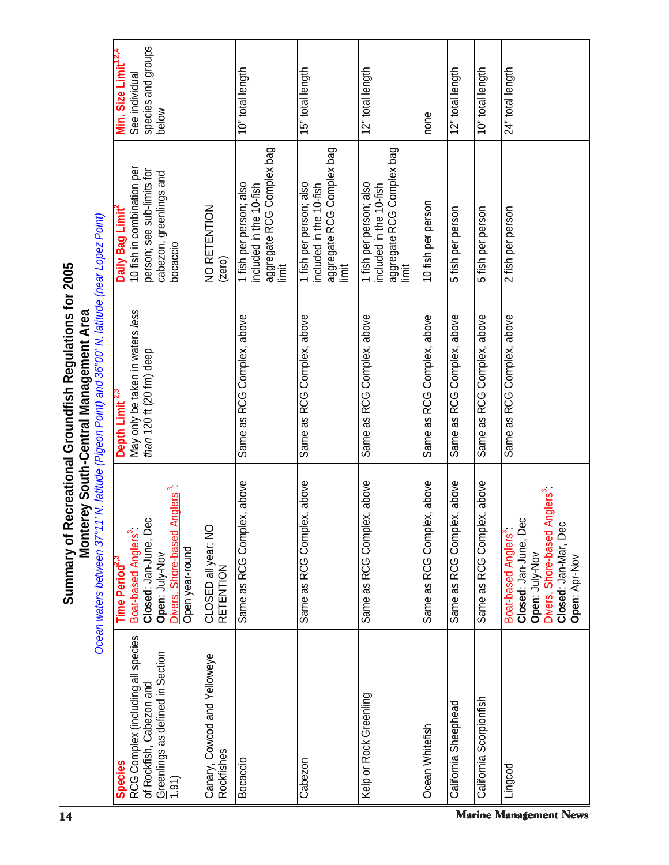| 14                                                                                                                                                                                         | <b>Species</b>                   | (1.91)                                                                                                                         | Rockfishes                           | Bocaccio                                                                                | Cabezon                                                                                  |                                                                                         | Ocean Whitefish            |                            |                            | Lingcod<br><b>Marine Management News</b>                                                                                                           |
|--------------------------------------------------------------------------------------------------------------------------------------------------------------------------------------------|----------------------------------|--------------------------------------------------------------------------------------------------------------------------------|--------------------------------------|-----------------------------------------------------------------------------------------|------------------------------------------------------------------------------------------|-----------------------------------------------------------------------------------------|----------------------------|----------------------------|----------------------------|----------------------------------------------------------------------------------------------------------------------------------------------------|
|                                                                                                                                                                                            |                                  | RCG Complex (including all species<br>Greenlings as defined in Section<br>of Rockfish, Cabezon and                             | Canary, Cowcod and Yelloweye         |                                                                                         |                                                                                          | Kelp or Rock Greenling                                                                  |                            | California Sheephead       | California Scorpionfish    |                                                                                                                                                    |
| Summary of                                                                                                                                                                                 | Time Period <sup>2,3</sup>       | Divers, Shore-based Anglers <sup>3</sup> :<br>Closed: Jan-June, Dec<br>Boat-based Anglers<br>Open year-round<br>Open: July-Nov | O<br>CLOSED all year; N<br>RETENTION | Same as RCG Complex, above                                                              | plex, above<br>Same as RCG Com                                                           | plex, above<br>Same as RCG Com                                                          | Same as RCG Complex, above | Same as RCG Complex, above | Same as RCG Complex, above | Divers, Shore-based Anglers <sup>3</sup><br>Closed: Jan-June, Dec<br>Closed: Jan-Mar, Dec<br>Boat-based Anglers<br>Open: July-Nov<br>Open: Apr-Nov |
| Ocean waters between 37°11' N. latitude (Pigeon Point) and 36°00' N. latitude (near Lopez Point)<br>Recreational Groundfish Regulations for 2005<br>Monterey South-Central Management Area | Depth Limit <sup>2,3</sup>       | May only be taken in waters less<br>than 120 ft (20 fm) deep                                                                   |                                      | Same as RCG Complex, above                                                              | Same as RCG Complex, above                                                               | Same as RCG Complex, above                                                              | Same as RCG Complex, above | Same as RCG Complex, above | Same as RCG Complex, above | Same as RCG Complex, above                                                                                                                         |
|                                                                                                                                                                                            | Daily Bag Limit                  | 10 fish in combination per<br>person; see sub-limits for<br>cabezon, greenlings and<br>bocaccio                                | NO RETENTION<br>(zero)               | aggregate RCG Complex bag<br>1 fish per person; also<br>included in the 10-fish<br>İmit | aggregate RCG Complex bag<br>limit<br>1 fish per person; also<br>included in the 10-fish | aggregate RCG Complex bag<br>1 fish per person; also<br>included in the 10-fish<br>İmit | 10 fish per person         | 5 fish per person          | 5 fish per person          | 2 fish per person                                                                                                                                  |
|                                                                                                                                                                                            | Min. Size Limit <sup>1,2,4</sup> | species and groups<br>See individual<br>below                                                                                  |                                      | 10" total length                                                                        | 15" total length                                                                         | 12" total length                                                                        | none                       | 12" total length           | 10" total length           | 24" total length                                                                                                                                   |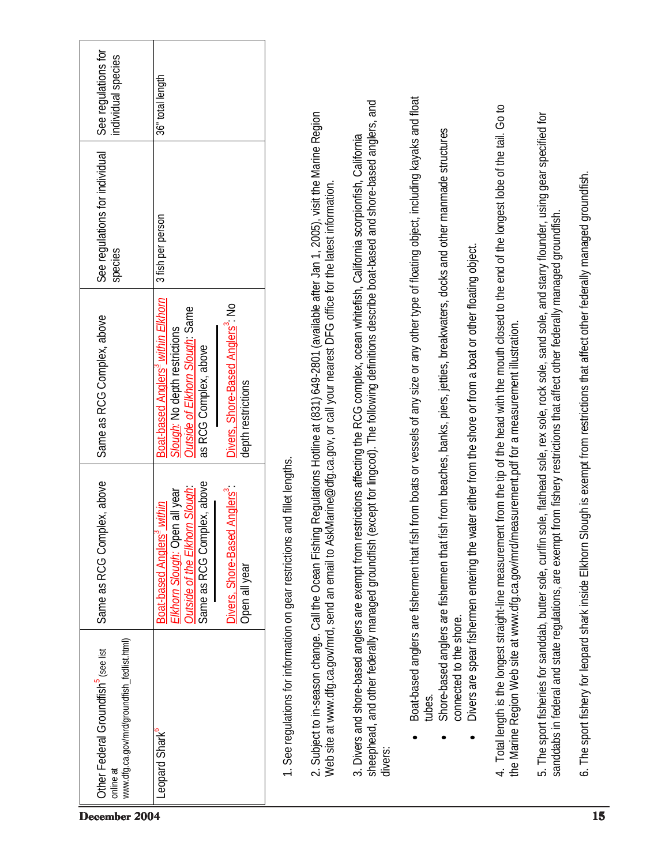| www.dfg.ca.gov/mrd/groundfish_fedlist.html)<br>Other Federal Groundfish <sup>5</sup> (see list<br>online at<br>December 2004 | Leopard Shark <sup>o</sup>                                                                                                                                                                                         |                                                                                                                                                                                                                                                                                           | sheephead, and other federally managed groundfish<br>3. Divers and shore-based anglers are exempt from<br>divers:                                                                                | tubes.                                                                                                                                                                                                                                     |                                                                      |                                                                                                                                                           |                                                                                                                                                                                                                                                                                                | 15                                                                                                                                       |
|------------------------------------------------------------------------------------------------------------------------------|--------------------------------------------------------------------------------------------------------------------------------------------------------------------------------------------------------------------|-------------------------------------------------------------------------------------------------------------------------------------------------------------------------------------------------------------------------------------------------------------------------------------------|--------------------------------------------------------------------------------------------------------------------------------------------------------------------------------------------------|--------------------------------------------------------------------------------------------------------------------------------------------------------------------------------------------------------------------------------------------|----------------------------------------------------------------------|-----------------------------------------------------------------------------------------------------------------------------------------------------------|------------------------------------------------------------------------------------------------------------------------------------------------------------------------------------------------------------------------------------------------------------------------------------------------|------------------------------------------------------------------------------------------------------------------------------------------|
|                                                                                                                              |                                                                                                                                                                                                                    |                                                                                                                                                                                                                                                                                           |                                                                                                                                                                                                  | connected to the shore.                                                                                                                                                                                                                    |                                                                      |                                                                                                                                                           |                                                                                                                                                                                                                                                                                                |                                                                                                                                          |
| Same as RCG Complex, above                                                                                                   | Same as RCG Complex, above<br>Divers, Shore-Based Anglers <sup>3</sup><br>norn Slough<br>Elkhorn Slough: Open all year<br>Boat-based Anglers <sup>3</sup> within<br><b>Outside of the Elkh</b><br>Open all year    | and fillet lengths.<br>1. See regulations for information on gear restrictions                                                                                                                                                                                                            |                                                                                                                                                                                                  | Shore-based anglers are fishermen that                                                                                                                                                                                                     | Divers are spear fishermen entering the                              | the Marine Region Web site at www.dfg.ca.gov/mrd/measurement.pdf for a measurement illustration.                                                          |                                                                                                                                                                                                                                                                                                |                                                                                                                                          |
| Same as RCG Complex, above                                                                                                   | Boat-based Anglers <sup>3</sup> within Elkhorn<br>Divers, Shore-Based Anglers <sup>3</sup> : No<br>Outside of Elkhorn Slough: Same<br>Slough: No depth restrictions<br>as RCG Complex, above<br>depth restrictions | 2. Subject to in-season change. Call the Ocean Fishing Regulations Hotline at (831) 649-2801 (available after Jan 1, 2005), visit the Marine Region<br>Web site at www.dfg.ca.gov/mrd, send an email to AskMarine@dfg.ca.gov, or call your nearest DFG office for the latest information. | (except for lingcod). The following definitions describe boat-based and shore-based anglers, and<br>restrictions affecting the RCG complex, ocean whitefish, California scorpionfish, California | Boat-based anglers are fishermen that fish from boats or vessels of any size or any other type of floating object, including kayaks and float<br>fish from beaches, banks, piers, jetties, breakwaters, docks and other manmade structures | water either from the shore or from a boat or other floating object. | 4. Total length is the longest straight-line measurement from the tip of the head with the mouth closed to the end of the longest lobe of the tail. Go to | 5. The sport fisheries for sanddab, butter sole, curlfin sole, flathead sole, rex sole, rock sole, sand sole, and starry flounder, using gear specified for<br>sanddabs in federal and state regulations, are exempt from fishery restrictions that affect other federally managed groundfish. | 6. The sport fishery for leopard shark inside Elkhorn Slough is exempt from restrictions that affect other federally managed groundfish. |
| See regulations for individual<br>species                                                                                    | 3 fish per person                                                                                                                                                                                                  |                                                                                                                                                                                                                                                                                           |                                                                                                                                                                                                  |                                                                                                                                                                                                                                            |                                                                      |                                                                                                                                                           |                                                                                                                                                                                                                                                                                                |                                                                                                                                          |
| See regulations for<br>individual species                                                                                    | 36" total length                                                                                                                                                                                                   |                                                                                                                                                                                                                                                                                           |                                                                                                                                                                                                  |                                                                                                                                                                                                                                            |                                                                      |                                                                                                                                                           |                                                                                                                                                                                                                                                                                                |                                                                                                                                          |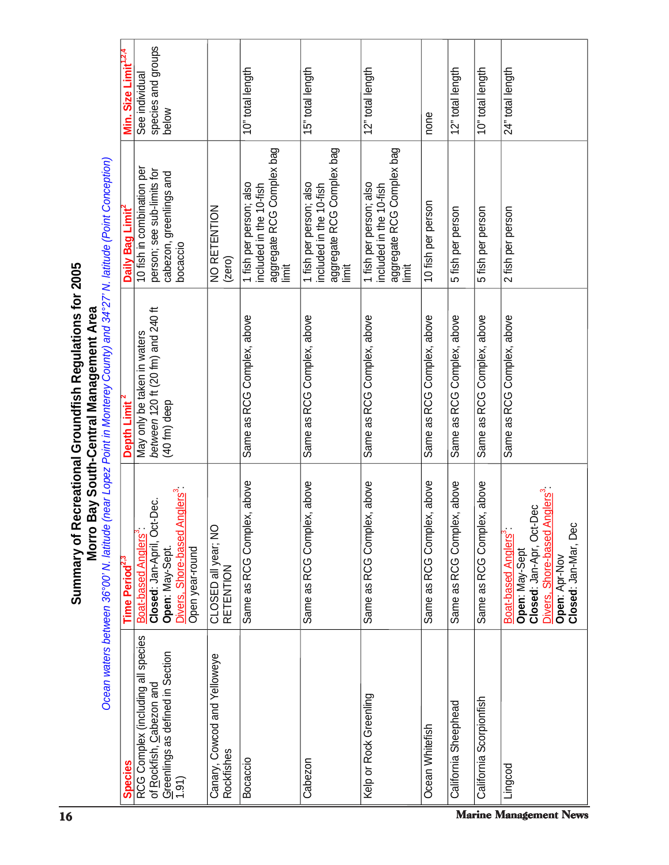|                                                                                                                                                                                                              | Min. Size Limit <sup>1,2,4</sup> | species and groups<br>See individual<br>below                                                                                                           |                                            | 10" total length                                                                         | 15" total length                                                                        | 12" total length                                                                         | none                           | 12" total length           | 10" total length           | 24" total length                                                                                                                                                      |
|--------------------------------------------------------------------------------------------------------------------------------------------------------------------------------------------------------------|----------------------------------|---------------------------------------------------------------------------------------------------------------------------------------------------------|--------------------------------------------|------------------------------------------------------------------------------------------|-----------------------------------------------------------------------------------------|------------------------------------------------------------------------------------------|--------------------------------|----------------------------|----------------------------|-----------------------------------------------------------------------------------------------------------------------------------------------------------------------|
|                                                                                                                                                                                                              | Daily Bag Limit                  | 10 fish in combination per<br>person; see sub-limits for<br>cabezon, greenlings and<br>bocaccio                                                         | NO RETENTION<br>(zero)                     | aggregate RCG Complex bag<br>limit<br>1 fish per person; also<br>included in the 10-fish | aggregate RCG Complex bag<br>1 fish per person; also<br>included in the 10-fish<br>İmit | aggregate RCG Complex bag<br>limit<br>1 fish per person; also<br>included in the 10-fish | 10 fish per person             | 5 fish per person          | 5 fish per person          | 2 fish per person                                                                                                                                                     |
| Ocean waters between 36°00' N. latitude (near Lopez Point in Monterey County) and 34'27' N. latitude (Point Conception)<br>Recreational Groundfish Regulations for 2005<br>Bay South-Central Management Area | Depth Limit <sup>2</sup>         | between 120 ft (20 fm) and 240 ft<br>May only be taken in waters<br>(40 fm) deep                                                                        |                                            | Same as RCG Complex, above                                                               | Same as RCG Complex, above                                                              | Same as RCG Complex, above                                                               | Same as RCG Complex, above     | Same as RCG Complex, above | Same as RCG Complex, above | Same as RCG Complex, above                                                                                                                                            |
| <b>Morro</b><br>Summary of                                                                                                                                                                                   | Time Period <sup>2,3</sup>       | Anglers <sup>3</sup><br>ct-Dec.<br>Boat-based Anglers <sup>3</sup><br>Closed: Jan-April, O<br>Divers, Shore-based<br>Open: May-Sept.<br>Open year-round | CLOSED all year; NC<br><b>RETENTION</b>    | Same as RCG Complex, above                                                               | Same as RCG Complex, above                                                              | Same as RCG Complex, above                                                               | lex, above<br>Same as RCG Comp | Same as RCG Complex, above | Same as RCG Complex, above | Anglers <sup>3</sup><br>Closed: Jan-Apr, Oct-Dec<br>Closed: Jan-Mar, Dec<br>Divers, Shore-based<br>Boat-based Anglers <sup>3</sup><br>Open: May-Sept<br>Open: Apr-Nov |
|                                                                                                                                                                                                              | <b>Species</b>                   | RCG Complex (including all species<br><u>G</u> reenlings as defined in Section<br>1.91)<br>of Rockfish, Cabezon and                                     | Canary, Cowcod and Yelloweye<br>Rockfishes | Bocaccio                                                                                 | Cabezon                                                                                 | Kelp or Rock Greenling                                                                   | Ocean Whitefish                | California Sheephead       | California Scorpionfish    | Lingcod                                                                                                                                                               |
| 16                                                                                                                                                                                                           |                                  |                                                                                                                                                         |                                            |                                                                                          |                                                                                         |                                                                                          |                                |                            |                            | Marine Management News                                                                                                                                                |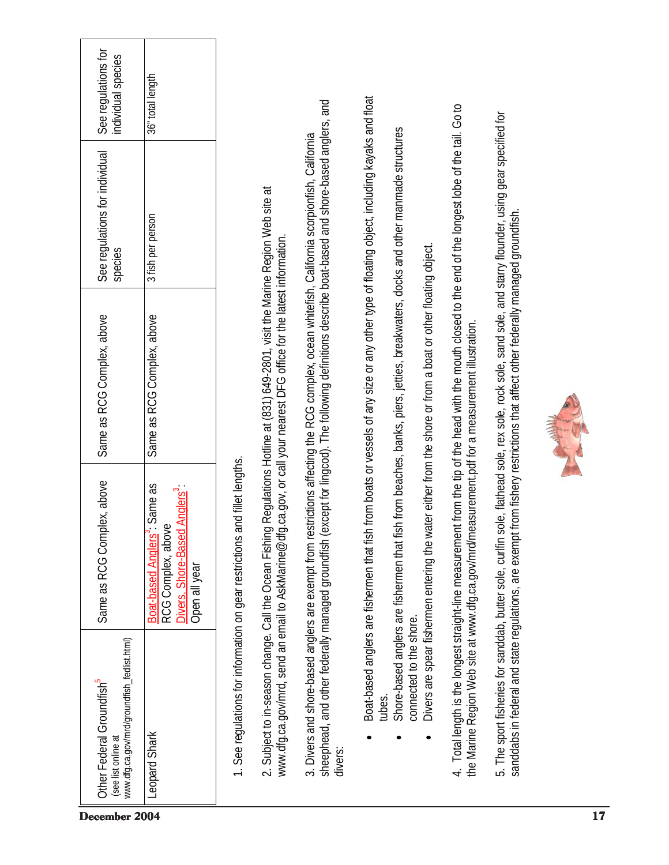| December 2004                                                                                               |                                                                                                                              |                                                         |                                                                                                                                                                                                         |                                                                                                                                                                                                  |                                                                                                                                               |                                                                                                                                                                   |                                                                                                                                                           |                                                                                                                                                                                                                                       |  |
|-------------------------------------------------------------------------------------------------------------|------------------------------------------------------------------------------------------------------------------------------|---------------------------------------------------------|---------------------------------------------------------------------------------------------------------------------------------------------------------------------------------------------------------|--------------------------------------------------------------------------------------------------------------------------------------------------------------------------------------------------|-----------------------------------------------------------------------------------------------------------------------------------------------|-------------------------------------------------------------------------------------------------------------------------------------------------------------------|-----------------------------------------------------------------------------------------------------------------------------------------------------------|---------------------------------------------------------------------------------------------------------------------------------------------------------------------------------------------------------------------------------------|--|
| www.dfg.ca.gov/mrd/groundfish_fedlist.html)<br>Other Federal Groundfish <sup>5</sup><br>(see list online at | Leopard Shark                                                                                                                | 1. See regulations for information on gear restrictions | 2. Subject to in-season change. Call the Ocean Fishi                                                                                                                                                    | 3. Divers and shore-based anglers are exempt from a<br>sheephead, and other federally managed groundfish<br>divers:                                                                              | tubes.                                                                                                                                        | Shore-based anglers are fishermen that<br>connected to the shore.                                                                                                 |                                                                                                                                                           | 5. The sport fisheries for sanddab, butter sole, curifin                                                                                                                                                                              |  |
| Same as RCG Complex, above                                                                                  | Boat-based Anglers <sup>3</sup> : Same as<br>Divers, Shore-Based Anglers <sup>3</sup><br>RCG Complex, above<br>Open all year | and fillet lengths.                                     |                                                                                                                                                                                                         |                                                                                                                                                                                                  |                                                                                                                                               | Divers are spear fishermen entering the                                                                                                                           | the Marine Region Web site at www.dfg.ca.gov/mrd/measurement.pdf for a measurement illustration.                                                          |                                                                                                                                                                                                                                       |  |
| Same as RCG Complex, above                                                                                  | Same as RCG Complex, above                                                                                                   |                                                         | ng Regulations Hotline at (831) 649-2801, visit the Marine Region Web site at<br>www.dfg.ca.gov/mrd, send an email to AskMarine@dfg.ca.gov, or call your nearest DFG office for the latest information. | (except for lingcod). The following definitions describe boat-based and shore-based anglers, and<br>restrictions affecting the RCG complex, ocean whitefish, California scorpionfish, California | Boat-based anglers are fishermen that fish from boats or vessels of any size or any other type of floating object, including kayaks and float | fish from beaches, banks, piers, jetties, breakwaters, docks and other manmade structures<br>water either from the shore or from a boat or other floating object. | 4. Total length is the longest straight-line measurement from the tip of the head with the mouth closed to the end of the longest lobe of the tail. Go to | sole, flathead sole, rex sole, rock sole, sand sole, and starry flounder, using gear specified for<br>sanddabs in federal and state regulations, are exempt from fishery restrictions that affect other federally managed groundfish. |  |
| See regulations for individual<br>species                                                                   | 3 fish per person                                                                                                            |                                                         |                                                                                                                                                                                                         |                                                                                                                                                                                                  |                                                                                                                                               |                                                                                                                                                                   |                                                                                                                                                           |                                                                                                                                                                                                                                       |  |
| See regulations for<br>individual species                                                                   | 36" total length                                                                                                             |                                                         |                                                                                                                                                                                                         |                                                                                                                                                                                                  |                                                                                                                                               |                                                                                                                                                                   |                                                                                                                                                           |                                                                                                                                                                                                                                       |  |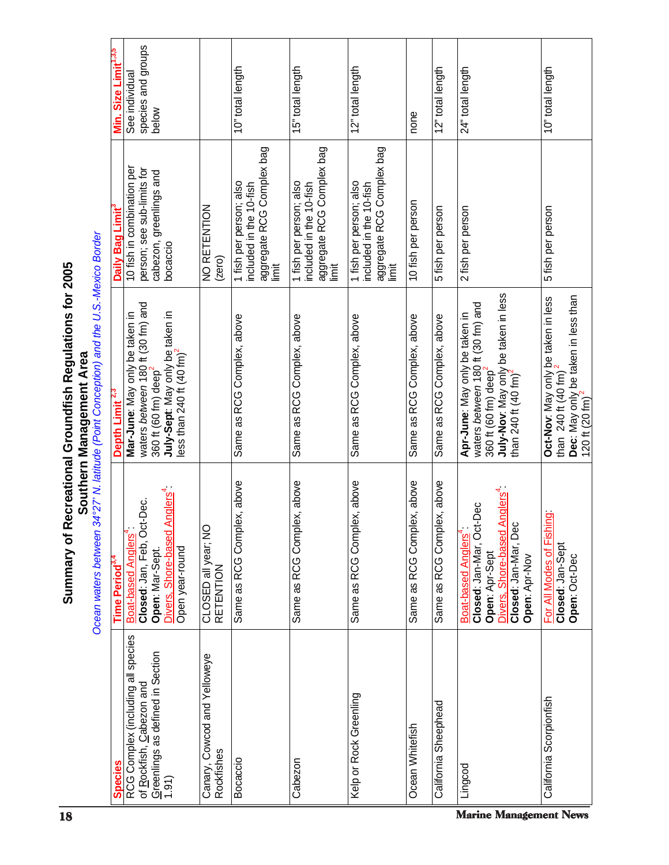| 18                                                                                                                                           |                                     |                                                                                                                                                                                             |                                            |                                                                                         |                                                                                          |                                                                                          |                            |                                | <b>Marine Management News</b>                                                                                                                                                      |                                                                                                                                             |
|----------------------------------------------------------------------------------------------------------------------------------------------|-------------------------------------|---------------------------------------------------------------------------------------------------------------------------------------------------------------------------------------------|--------------------------------------------|-----------------------------------------------------------------------------------------|------------------------------------------------------------------------------------------|------------------------------------------------------------------------------------------|----------------------------|--------------------------------|------------------------------------------------------------------------------------------------------------------------------------------------------------------------------------|---------------------------------------------------------------------------------------------------------------------------------------------|
|                                                                                                                                              | <b>Species</b>                      | RCG Complex (including all species<br>Greenlings as defined in Section<br>of Rockfish, Cabezon and<br>(1.91)                                                                                | Canary, Cowcod and Yelloweye<br>Rockfishes | Bocaccio                                                                                | Cabezon                                                                                  | Kelp or Rock Greenling                                                                   | Ocean Whitefish            | California Sheephead           | Lingcod                                                                                                                                                                            | California Scorpionfish                                                                                                                     |
| Ocean waters between<br>Summary of                                                                                                           | Period <sup>3,</sup><br>Time        | Anglers <sup>4</sup><br>Closed: Jan, Feb, Oct-Dec.<br>Divers, Shore-based<br>Boat-based Anglers<br>Open year-round<br>Open: Mar-Sept.                                                       | O<br>CLOSED all year; N<br>RETENTION       | Same as RCG Complex, above                                                              | plex, above<br>Same as RCG Com                                                           | plex, above<br>Same as RCG Com                                                           | Same as RCG Complex, above | plex, above<br>Same as RCG Com | Divers, Shore-based Anglers <sup>4</sup> :<br>Closed: Jan-Mar, Oct-Dec<br>Closed: Jan-Mar, Dec<br>Boat-based Anglers<br>Open: Apr-Sept<br>Open: Apr-Nov                            | hing<br>For All Modes of Fisl<br>Closed: Jan-Sept<br>Open: Oct-Dec                                                                          |
| 34°27' N. latitude (Point Conception) and the U.S.-Mexico Border<br>Recreational Groundfish Regulations for 2005<br>Southern Management Area | Depth Limit <sup>2,3</sup>          | waters between 180 ft (30 fm) and<br>Mar-June: May only be taken in<br><b>July-Sept</b> : May only be taken in<br>less than 240 ft (40 fm) <sup>2</sup><br>360 ft (60 fm) deep <sup>2</sup> |                                            | Same as RCG Complex, above                                                              | Same as RCG Complex, above                                                               | Same as RCG Complex, above                                                               | Same as RCG Complex, above | Same as RCG Complex, above     | July-Nov: May only be taken in less<br>than 240 ft (40 fm) <sup>2</sup><br>waters between 180 ft (30 fm) and<br>Apr-June: May only be taken in<br>360 ft (60 fm) deep <sup>2</sup> | Dec: May only be taken in less than<br>120 ft (20 fm) <sup>2</sup><br>Oct-Nov: May only be taken in less<br>than 240 ft $(40 \text{ fm})^2$ |
|                                                                                                                                              | Daily Bag Limit                     | 10 fish in combination per<br>person; see sub-limits for<br>cabezon, greenlings and<br>bocaccio                                                                                             | NO RETENTION<br>(zero)                     | aggregate RCG Complex bag<br>1 fish per person; also<br>included in the 10-fish<br>İmit | aggregate RCG Complex bag<br>1 fish per person; also<br>included in the 10-fish<br>limit | aggregate RCG Complex bag<br>1 fish per person; also<br>included in the 10-fish<br>limit | 10 fish per person         | 5 fish per person              | 2 fish per person                                                                                                                                                                  | 5 fish per person                                                                                                                           |
|                                                                                                                                              | Size Limit <sup>1,3,5</sup><br>Nin. | species and groups<br>See individual<br>below                                                                                                                                               |                                            | 10" total length                                                                        | 15" total length                                                                         | 12" total length                                                                         | none                       | 12" total length               | 24" total length                                                                                                                                                                   | 10" total length                                                                                                                            |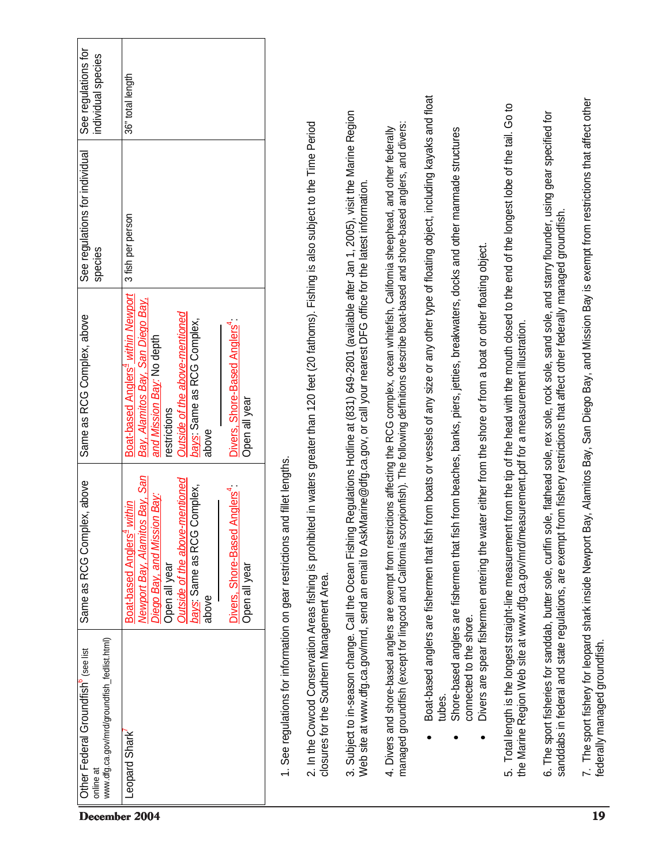| December 2004                                                                                               |                                                                                                                                                                                                                                                                        |                                                         |                                                                                                                                                    |                                                                                                                                                                                                                                                                                           |                                                                                                                                                                                                                                                                                                                 |                                                                                                                                               |                                                                                                                                  |                                                                      |                                                                                                                                                           |                                                                                                                                                                                                                                       | 19                                                                                              |
|-------------------------------------------------------------------------------------------------------------|------------------------------------------------------------------------------------------------------------------------------------------------------------------------------------------------------------------------------------------------------------------------|---------------------------------------------------------|----------------------------------------------------------------------------------------------------------------------------------------------------|-------------------------------------------------------------------------------------------------------------------------------------------------------------------------------------------------------------------------------------------------------------------------------------------|-----------------------------------------------------------------------------------------------------------------------------------------------------------------------------------------------------------------------------------------------------------------------------------------------------------------|-----------------------------------------------------------------------------------------------------------------------------------------------|----------------------------------------------------------------------------------------------------------------------------------|----------------------------------------------------------------------|-----------------------------------------------------------------------------------------------------------------------------------------------------------|---------------------------------------------------------------------------------------------------------------------------------------------------------------------------------------------------------------------------------------|-------------------------------------------------------------------------------------------------|
| www.dfg.ca.gov/mrd/groundfish_fedlist.html)<br>Other Federal Groundfish <sup>6</sup> (see list<br>online at | Leopard Shark                                                                                                                                                                                                                                                          | 1. See regulations for information on gear restrictions | closures for the Southern Management Area.                                                                                                         |                                                                                                                                                                                                                                                                                           |                                                                                                                                                                                                                                                                                                                 | tubes.                                                                                                                                        | connected to the shore.                                                                                                          |                                                                      |                                                                                                                                                           | 6. The sport fisheries for sanddab, butter sole, curifin                                                                                                                                                                              | 7. The sport fishery for leopard shark inside Newport                                           |
| Same as RCG Complex, above                                                                                  | Newport Bay, Alamitos Bay, San<br>Outside of the above-mentioned<br>bays: Same as RCG Complex,<br>Divers, Shore-Based Anglers <sup>4</sup> :<br>Diego Bay, and Mission Bay:<br>Boat-based Anglers <sup>4</sup> within<br>Open all year<br>Open all year<br>above       | and fillet lengths.                                     |                                                                                                                                                    |                                                                                                                                                                                                                                                                                           |                                                                                                                                                                                                                                                                                                                 |                                                                                                                                               |                                                                                                                                  | Divers are spear fishermen entering the                              | the Marine Region Web site at www.dfg.ca.gov/mrd/measurement.pdf for a measurement illustration.                                                          |                                                                                                                                                                                                                                       |                                                                                                 |
| Same as RCG Complex, above                                                                                  | Boat-based Anglers <sup>4</sup> within Newport<br>Bay, Alamitos Bay, San Diego Bay,<br>Outside of the above-mentioned<br>bays: Same as RCG Complex,<br>Divers, Shore-Based Anglers <sup>4</sup><br>and Mission Bay: No depth<br>Open all year<br>restrictions<br>above |                                                         | 2. In the Cowcod Conservation Areas fishing is prohibited in waters greater than 120 feet (20 fathoms). Fishing is also subject to the Time Period | 3. Subject to in-season change. Call the Ocean Fishing Regulations Hotline at (831) 649-2801 (available after Jan 1, 2005), visit the Marine Region<br>Web site at www.dfg.ca.gov/mrd, send an email to AskMarine@dfg.ca.gov, or call your nearest DFG office for the latest information. | managed groundfish (except for lingcod and California scorpionfish). The following definitions describe boat-based and shore-based anglers, and divers:<br>4. Divers and shore-based anglers are exempt from restrictions affecting the RCG complex, ocean whitefish, California sheephead, and other federally | Boat-based anglers are fishermen that fish from boats or vessels of any size or any other type of floating object, including kayaks and float | Shore-based anglers are fishermen that fish from beaches, banks, piers, jetties, breakwaters, docks and other manmade structures | water either from the shore or from a boat or other floating object. | 5. Total length is the longest straight-line measurement from the tip of the head with the mouth closed to the end of the longest lobe of the tail. Go to | sole, flathead sole, rex sole, rock sole, sand sole, and starry flounder, using gear specified for<br>sanddabs in federal and state regulations, are exempt from fishery restrictions that affect other federally managed groundfish. | Bay, Alamitos Bay, San Diego Bay, and Mission Bay is exempt from restrictions that affect other |
| See regulations for individual<br>species                                                                   | 3 fish per person                                                                                                                                                                                                                                                      |                                                         |                                                                                                                                                    |                                                                                                                                                                                                                                                                                           |                                                                                                                                                                                                                                                                                                                 |                                                                                                                                               |                                                                                                                                  |                                                                      |                                                                                                                                                           |                                                                                                                                                                                                                                       |                                                                                                 |
| See regulations for<br>individual species                                                                   | 36" total length                                                                                                                                                                                                                                                       |                                                         |                                                                                                                                                    |                                                                                                                                                                                                                                                                                           |                                                                                                                                                                                                                                                                                                                 |                                                                                                                                               |                                                                                                                                  |                                                                      |                                                                                                                                                           |                                                                                                                                                                                                                                       |                                                                                                 |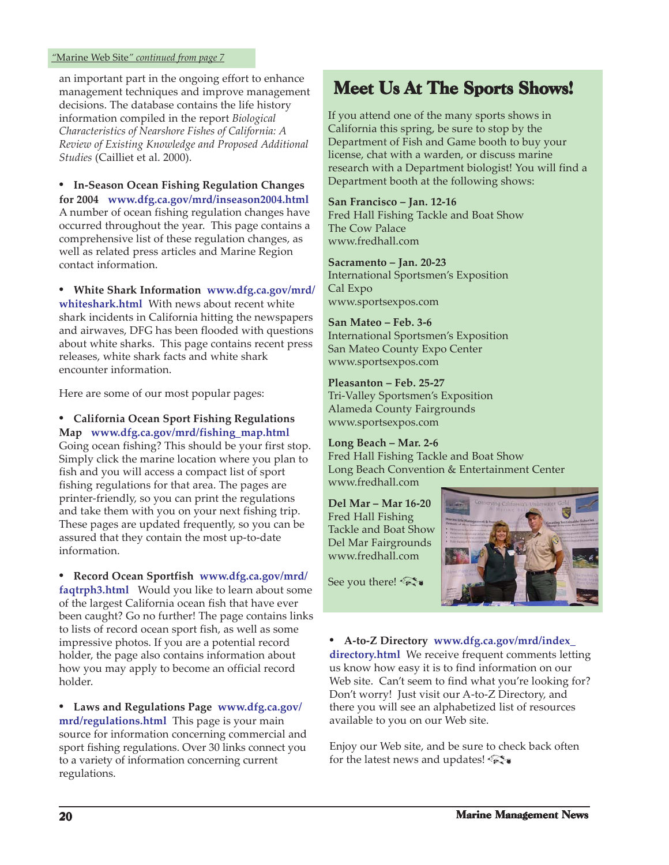#### <span id="page-19-0"></span>*"*Marine Web Site*" continued from page 7*

an important part in the ongoing effort to enhance management techniques and improve management decisions. The database contains the life history information compiled in the report *Biological Characteristics of Nearshore Fishes of California: A Review of Existing Knowledge and Proposed Additional Studies* (Cailliet et al. 2000).

**• In-Season Ocean Fishing Regulation Changes for 2004 <www.dfg.ca.gov/mrd/inseason2004.html>** A number of ocean fishing regulation changes have occurred throughout the year. This page contains a comprehensive list of these regulation changes, as well as related press articles and Marine Region contact information.

**• White Shark Information www.dfg.ca.gov/mrd/ whiteshark.html** [With news about recent white](www.dfg.ca.gov/mrd/whiteshark.html) shark incidents in California hitting the newspapers and airwaves, DFG has been flooded with questions about white sharks. This page contains recent press releases, white shark facts and white shark encounter information.

Here are some of our most popular pages:

**• California Ocean Sport Fishing Regulations Map [www.dfg.ca.gov/mrd/fishing\\_map.html](www.dfg.ca.gov/mrd/fishing_map.html)** Going ocean fishing? This should be your first stop. Simply click the marine location where you plan to fish and you will access a compact list of sport fishing regulations for that area. The pages are printer-friendly, so you can print the regulations and take them with you on your next fishing trip. These pages are updated frequently, so you can be assured that they contain the most up-to-date information.

**• [Record Ocean Sportfish www.dfg.ca.gov/mrd/](www.dfg.ca.gov/mrd/faqtrph3.html) faqtrph3.html** Would you like to learn about some of the largest California ocean fish that have ever been caught? Go no further! The page contains links to lists of record ocean sport fish, as well as some impressive photos. If you are a potential record holder, the page also contains information about how you may apply to become an official record holder.

**• [Laws and Regulations Page](www.dfg.ca.gov/mrd/regulations.html) www.dfg.ca.gov/ mrd/regulations.html** This page is your main source for information concerning commercial and sport fishing regulations. Over 30 links connect you to a variety of information concerning current regulations.

### Meet Us At The Sports Shows!

If you attend one of the many sports shows in California this spring, be sure to stop by the Department of Fish and Game booth to buy your license, chat with a warden, or discuss marine research with a Department biologist! You will find a Department booth at the following shows:

**San Francisco – Jan. 12-16** Fred Hall Fishing Tackle and Boat Show The Cow Palace <www.fredhall.com>

**Sacramento – Jan. 20-23** International Sportsmen's Exposition Cal Expo <www.sportsexpos.com>

**San Mateo – Feb. 3-6** International Sportsmen's Exposition San Mateo County Expo Center <www.sportsexpos.com>

**Pleasanton – Feb. 25-27** Tri-Valley Sportsmen's Exposition Alameda County Fairgrounds <www.sportsexpos.com>

**Long Beach – Mar. 2-6** Fred Hall Fishing Tackle and Boat Show Long Beach Convention & Entertainment Center <www.fredhall.com>

**Del Mar – Mar 16-20** Fred Hall Fishing Tackle and Boat Show Del Mar Fairgrounds <www.fredhall.com>



See you there!

**• A-to-Z Directory www.dfg.ca.gov/mrd/index\_ directory.html** [We receive frequent comments lettin](www.dfg.ca.gov/mrd/index_directory.html)g us know how easy it is to find information on our Web site. Can't seem to find what you're looking for? Don't worry! Just visit our A-to-Z Directory, and there you will see an alphabetized list of resources available to you on our Web site.

Enjoy our Web site, and be sure to check back often for the latest news and updates!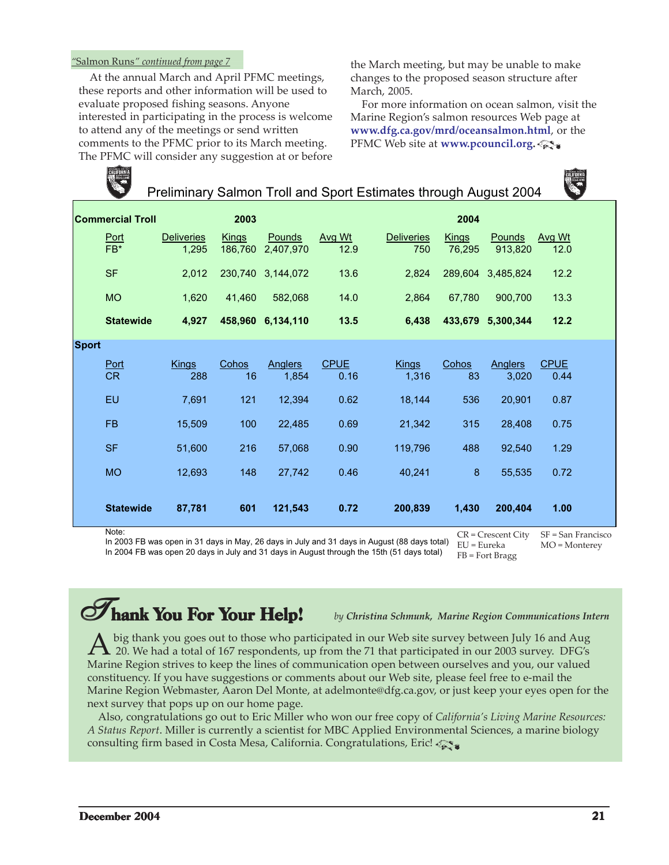#### <span id="page-20-0"></span>*"*Salmon Runs*" continued from page 7*

 At the annual March and April PFMC meetings, these reports and other information will be used to evaluate proposed fishing seasons. Anyone interested in participating in the process is welcome to attend any of the meetings or send written comments to the PFMC prior to its March meeting. The PFMC will consider any suggestion at or before

the March meeting, but may be unable to make changes to the proposed season structure after March, 2005.

 For more information on ocean salmon, visit the Marine Region's salmon resources Web page at **<www.dfg.ca.gov/mrd/oceansalmon.html>**, or the PFMC Web site at **[www.pcouncil.org.](www.pcouncil.org)**

![](_page_20_Picture_4.jpeg)

Preliminary Salmon Troll and Sport Estimates through August 2004

![](_page_20_Picture_6.jpeg)

|              | <b>Commercial Troll</b> |                            | 2003                    |                         |                     |                          | 2004                   |                         |                     |  |
|--------------|-------------------------|----------------------------|-------------------------|-------------------------|---------------------|--------------------------|------------------------|-------------------------|---------------------|--|
|              | Port<br>FB*             | <b>Deliveries</b><br>1,295 | <b>Kings</b><br>186,760 | Pounds<br>2.407.970     | Avg Wt<br>12.9      | <b>Deliveries</b><br>750 | <b>Kings</b><br>76,295 | Pounds<br>913,820       | Avg Wt<br>12.0      |  |
|              | <b>SF</b>               | 2,012                      |                         | 230,740 3,144,072       | 13.6                | 2,824                    | 289,604                | 3,485,824               | 12.2                |  |
|              | <b>MO</b>               | 1,620                      | 41,460                  | 582,068                 | 14.0                | 2,864                    | 67,780                 | 900,700                 | 13.3                |  |
|              | <b>Statewide</b>        | 4,927                      |                         | 458,960 6,134,110       | 13.5                | 6,438                    | 433,679                | 5,300,344               | 12.2                |  |
| <b>Sport</b> |                         |                            |                         |                         |                     |                          |                        |                         |                     |  |
|              | Port<br><b>CR</b>       | <b>Kings</b><br>288        | Cohos<br>16             | <b>Anglers</b><br>1,854 | <b>CPUE</b><br>0.16 | <b>Kings</b><br>1,316    | Cohos<br>83            | <b>Anglers</b><br>3,020 | <b>CPUE</b><br>0.44 |  |
|              | EU                      | 7,691                      | 121                     | 12,394                  | 0.62                | 18,144                   | 536                    | 20,901                  | 0.87                |  |
|              | <b>FB</b>               | 15,509                     | 100                     | 22,485                  | 0.69                | 21,342                   | 315                    | 28,408                  | 0.75                |  |
|              | <b>SF</b>               | 51,600                     | 216                     | 57,068                  | 0.90                | 119,796                  | 488                    | 92,540                  | 1.29                |  |
|              | <b>MO</b>               | 12,693                     | 148                     | 27,742                  | 0.46                | 40,241                   | 8                      | 55,535                  | 0.72                |  |
|              | <b>Statewide</b>        | 87,781                     | 601                     | 121,543                 | 0.72                | 200,839                  | 1,430                  | 200,404                 | 1.00                |  |
|              | Note:                   |                            |                         | $\cdot$ $\cdot$ $\cdot$ |                     |                          |                        | $CR = C$ rescent City   | SF = San Francisco  |  |

Noie.<br>In 2003 FB was open in 31 days in May, 26 days in July and 31 days in August (88 days total) <sub>FIT= Fureka</sub> ت In 2004 FB was open 20 days in July and 31 days in August through the 15th (51 days total)

MO = Monterey

EU = Eureka FB = Fort Bragg

## **Thank You For Your Help!** by Christina Schmunk, Marine Region Communications Intern

 $\AA$  big thank you goes out to those who participated in our Web site survey between July 16 and Aug<br>20. We had a total of 167 respondents, up from the 71 that participated in our 2003 survey. DFG's<br>Marine Besien strives Marine Region strives to keep the lines of communication open between ourselves and you, our valued constituency. If you have suggestions or comments about our Web site, please feel free to e-mail the Marine Region Webmaster, Aaron Del Monte, at adelmonte@dfg.ca.gov, or just keep your eyes open for the next survey that pops up on our home page.

 Also, congratulations go out to Eric Miller who won our free copy of *[California's Living Marine Resources:](www.dfg.ca.gov/mrd/status/index.html) [A Status Report](www.dfg.ca.gov/mrd/status/index.html)*. Miller is currently a scientist for MBC Applied Environmental Sciences, a marine biology consulting firm based in Costa Mesa, California. Congratulations, Eric!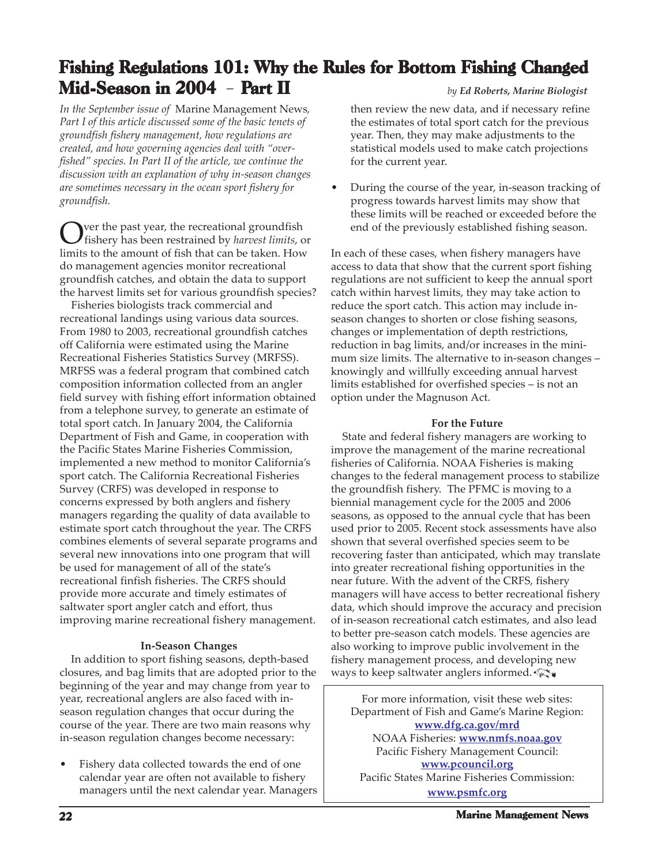### <span id="page-21-0"></span>Fishing Regulations 101: Why the Rules for Bottom Fishing Changed Mid-Season in 2004 - Part II *by Ed Roberts, Marine Biologist*

*In the September issue of* Marine Management News*, [Part I of this article discussed some of the basic tenets of](http://www.dfg.ca.gov/mrd/newsletter/0904.html#fr101) groundfish fishery management, how regulations are created, and how governing agencies deal with "overfished" species. In Part II of the article, we continue the discussion with an explanation of why in-season changes are sometimes necessary in the ocean sport fishery for groundfish.*

Over the past year, the recreational groundfish fishery has been restrained by *harvest limits*, or limits to the amount of fish that can be taken. How do management agencies monitor recreational groundfish catches, and obtain the data to support the harvest limits set for various groundfish species?

 Fisheries biologists track commercial and recreational landings using various data sources. From 1980 to 2003, recreational groundfish catches off California were estimated using the Marine Recreational Fisheries Statistics Survey (MRFSS). MRFSS was a federal program that combined catch composition information collected from an angler field survey with fishing effort information obtained from a telephone survey, to generate an estimate of total sport catch. In January 2004, the California Department of Fish and Game, in cooperation with the Pacific States Marine Fisheries Commission, implemented a new method to monitor California's sport catch. The California Recreational Fisheries Survey (CRFS) was developed in response to concerns expressed by both anglers and fishery managers regarding the quality of data available to estimate sport catch throughout the year. The CRFS combines elements of several separate programs and several new innovations into one program that will be used for management of all of the state's recreational finfish fisheries. The CRFS should provide more accurate and timely estimates of saltwater sport angler catch and effort, thus improving marine recreational fishery management.

#### **In-Season Changes**

 In addition to sport fishing seasons, depth-based closures, and bag limits that are adopted prior to the beginning of the year and may change from year to year, recreational anglers are also faced with inseason regulation changes that occur during the course of the year. There are two main reasons why in-season regulation changes become necessary:

Fishery data collected towards the end of one calendar year are often not available to fishery managers until the next calendar year. Managers

then review the new data, and if necessary refine the estimates of total sport catch for the previous year. Then, they may make adjustments to the statistical models used to make catch projections for the current year.

• During the course of the year, in-season tracking of progress towards harvest limits may show that these limits will be reached or exceeded before the end of the previously established fishing season.

In each of these cases, when fishery managers have access to data that show that the current sport fishing regulations are not sufficient to keep the annual sport catch within harvest limits, they may take action to reduce the sport catch. This action may include inseason changes to shorten or close fishing seasons, changes or implementation of depth restrictions, reduction in bag limits, and/or increases in the minimum size limits. The alternative to in-season changes – knowingly and willfully exceeding annual harvest limits established for overfished species – is not an option under the Magnuson Act.

#### **For the Future**

 State and federal fishery managers are working to improve the management of the marine recreational fisheries of California. NOAA Fisheries is making changes to the federal management process to stabilize the groundfish fishery. The PFMC is moving to a biennial management cycle for the 2005 and 2006 seasons, as opposed to the annual cycle that has been used prior to 2005. Recent stock assessments have also shown that several overfished species seem to be recovering faster than anticipated, which may translate into greater recreational fishing opportunities in the near future. With the advent of the CRFS, fishery managers will have access to better recreational fishery data, which should improve the accuracy and precision of in-season recreational catch estimates, and also lead to better pre-season catch models. These agencies are also working to improve public involvement in the fishery management process, and developing new ways to keep saltwater anglers informed.

For more information, visit these web sites: Department of Fish and Game's Marine Region: **<www.dfg.ca.gov/mrd>** NOAA Fisheries: **<www.nmfs.noaa.gov>** Pacific Fishery Management Council: **<www.pcouncil.org>** Pacific States Marine Fisheries Commission: **<www.psmfc.org>**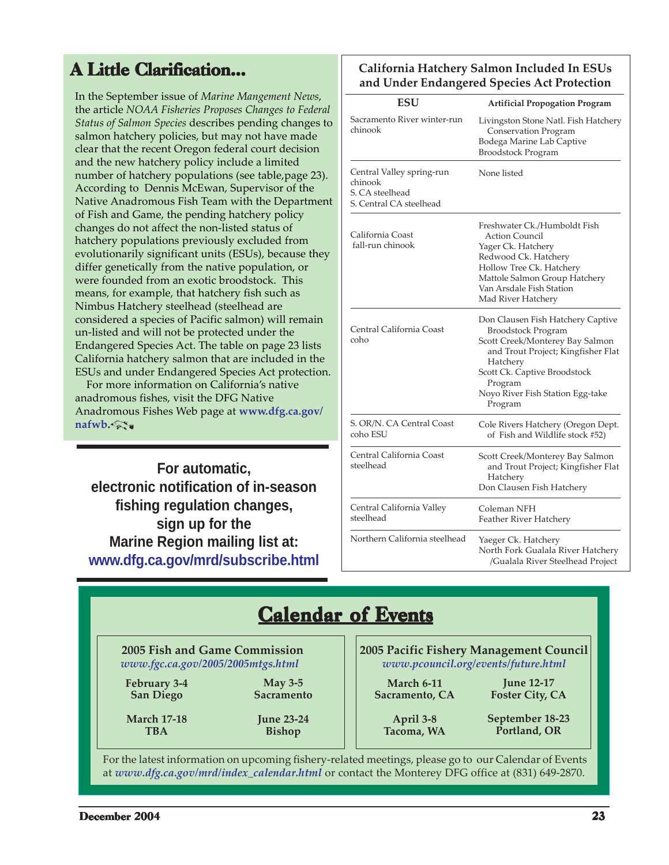### <span id="page-22-0"></span>**A Little Clarification...**

In the September issue of *Marine Mangement News*, the article *[NOAA Fisheries Proposes Changes to Federal](www.dfg.ca.gov/mrd/newsletter/0904.html#salmon2) Status of Salmon Species* describes pending changes to salmon hatchery policies, but may not have made clear that the recent Oregon federal court decision and the new hatchery policy include a limited number of hatchery populations (see table,page 23). According to Dennis McEwan, Supervisor of the Native Anadromous Fish Team with the Department of Fish and Game, the pending hatchery policy changes do not affect the non-listed status of hatchery populations previously excluded from evolutionarily significant units (ESUs), because they differ genetically from the native population, or were founded from an exotic broodstock. This means, for example, that hatchery fish such as Nimbus Hatchery steelhead (steelhead are considered a species of Pacific salmon) will remain un-listed and will not be protected under the Endangered Species Act. The table on page 23 lists California hatchery salmon that are included in the ESUs and under Endangered Species Act protection.

 For more information on California's native anadromous fishes, visit the DFG Native [Anadromous Fishes Web page at](www.dfg.ca.gov/nafwb) **www.dfg.ca.gov/ nafwb.**

**For automatic, electronic notification of in-season fishing regulation changes, sign up for the Marine Region mailing list at: <www.dfg.ca.gov/mrd/subscribe.html>**

#### **California Hatchery Salmon Included In ESUs and Under Endangered Species Act Protection**

| <b>ESU</b>                                                                         | <b>Artificial Propogation Program</b>                                                                                                                                                                                                         |
|------------------------------------------------------------------------------------|-----------------------------------------------------------------------------------------------------------------------------------------------------------------------------------------------------------------------------------------------|
| Sacramento River winter-run<br>chinook                                             | Livingston Stone Natl. Fish Hatchery<br>Conservation Program<br>Bodega Marine Lab Captive<br><b>Broodstock Program</b>                                                                                                                        |
| Central Valley spring-run<br>chinook<br>S. CA steelhead<br>S. Central CA steelhead | None listed                                                                                                                                                                                                                                   |
| California Coast<br>fall-run chinook                                               | Freshwater Ck./Humboldt Fish<br><b>Action Council</b><br>Yager Ck. Hatchery<br>Redwood Ck. Hatchery<br>Hollow Tree Ck. Hatchery<br>Mattole Salmon Group Hatchery<br>Van Arsdale Fish Station<br>Mad River Hatchery                            |
| Central California Coast<br>coho                                                   | Don Clausen Fish Hatchery Captive<br><b>Broodstock Program</b><br>Scott Creek/Monterey Bay Salmon<br>and Trout Project; Kingfisher Flat<br>Hatchery<br>Scott Ck. Captive Broodstock<br>Program<br>Noyo River Fish Station Egg-take<br>Program |
| S. OR/N. CA Central Coast<br>coho ESU                                              | Cole Rivers Hatchery (Oregon Dept.<br>of Fish and Wildlife stock #52)                                                                                                                                                                         |
| Central California Coast<br>steelhead                                              | Scott Creek/Monterey Bay Salmon<br>and Trout Project; Kingfisher Flat<br>Hatchery<br>Don Clausen Fish Hatchery                                                                                                                                |
| Central California Valley<br>steelhead                                             | Coleman NFH<br>Feather River Hatchery                                                                                                                                                                                                         |
| Northern California steelhead                                                      | Yaeger Ck. Hatchery<br>North Fork Gualala River Hatchery<br>/Gualala River Steelhead Project                                                                                                                                                  |

### **Calendar of Events**

 **2005 Fish and Game Commission**  *<www.fgc.ca.gov/2005/2005mtgs.html>*

**February 3-4 San Diego**

**May 3-5 Sacramento**

**March 17-18 TBA**

**June 23-24 Bishop**

**2005 Pacific Fishery Management Council** *<www.pcouncil.org/events/future.html>*

**March 6-11 Sacramento, CA**

**June 12-17 Foster City, CA**

**April 3-8 Tacoma, WA** **September 18-23 Portland, OR**

For the latest information on upcoming fishery-related meetings, please go to our Calendar of Events at *[www.dfg.ca.gov/mrd/index\\_calendar.html](www.dfg.ca.gov/mrd/index_calendar.html)* or contact the Monterey DFG office at (831) 649-2870.